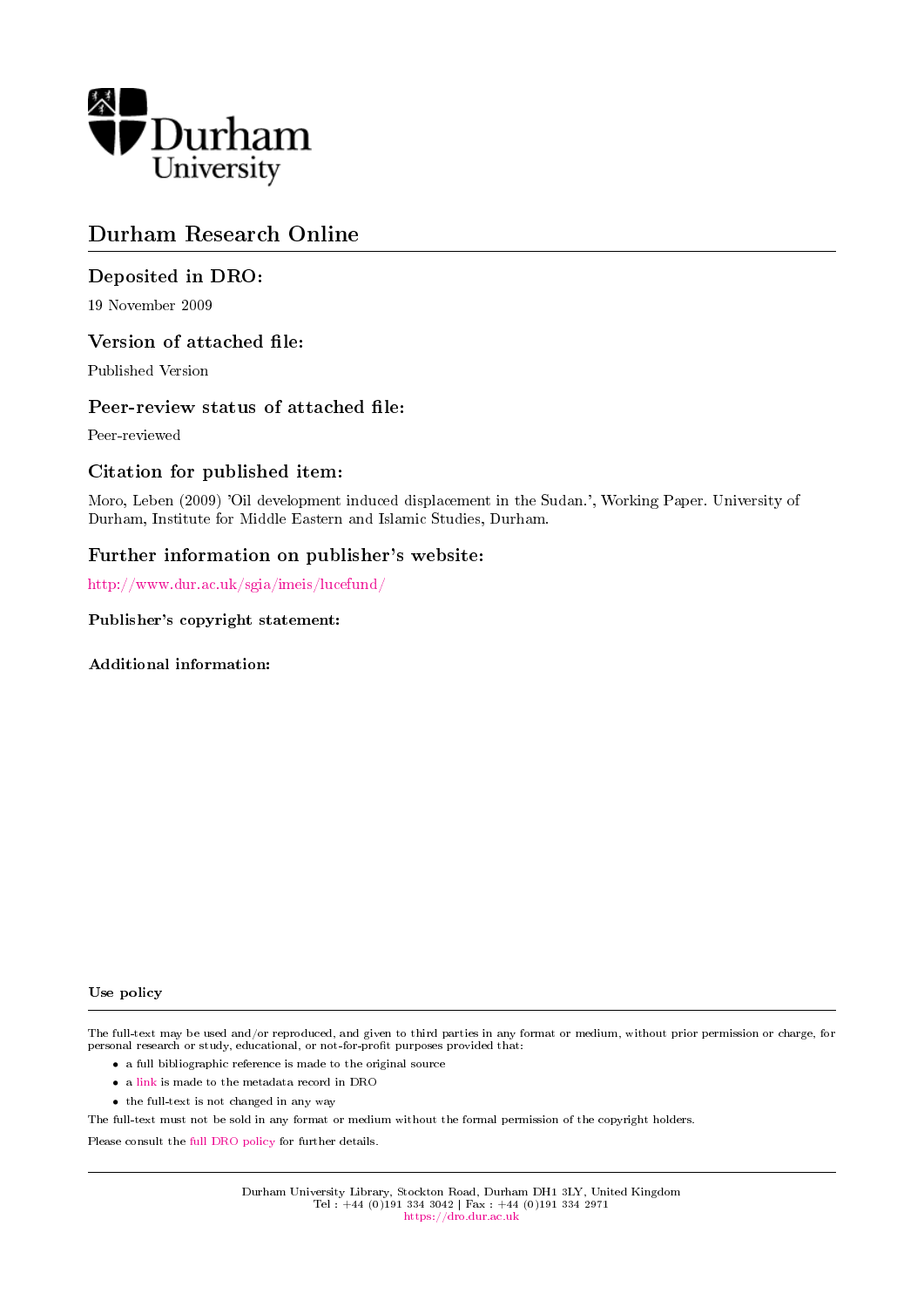

# Durham Research Online

## Deposited in DRO:

19 November 2009

#### Version of attached file:

Published Version

#### Peer-review status of attached file:

Peer-reviewed

## Citation for published item:

Moro, Leben (2009) 'Oil development induced displacement in the Sudan.', Working Paper. University of Durham, Institute for Middle Eastern and Islamic Studies, Durham.

#### Further information on publisher's website:

<http://www.dur.ac.uk/sgia/imeis/lucefund/>

Publisher's copyright statement:

Additional information:

#### Use policy

The full-text may be used and/or reproduced, and given to third parties in any format or medium, without prior permission or charge, for personal research or study, educational, or not-for-profit purposes provided that:

- a full bibliographic reference is made to the original source
- a [link](http://dro.dur.ac.uk/6232/) is made to the metadata record in DRO
- the full-text is not changed in any way

The full-text must not be sold in any format or medium without the formal permission of the copyright holders.

Please consult the [full DRO policy](https://dro.dur.ac.uk/policies/usepolicy.pdf) for further details.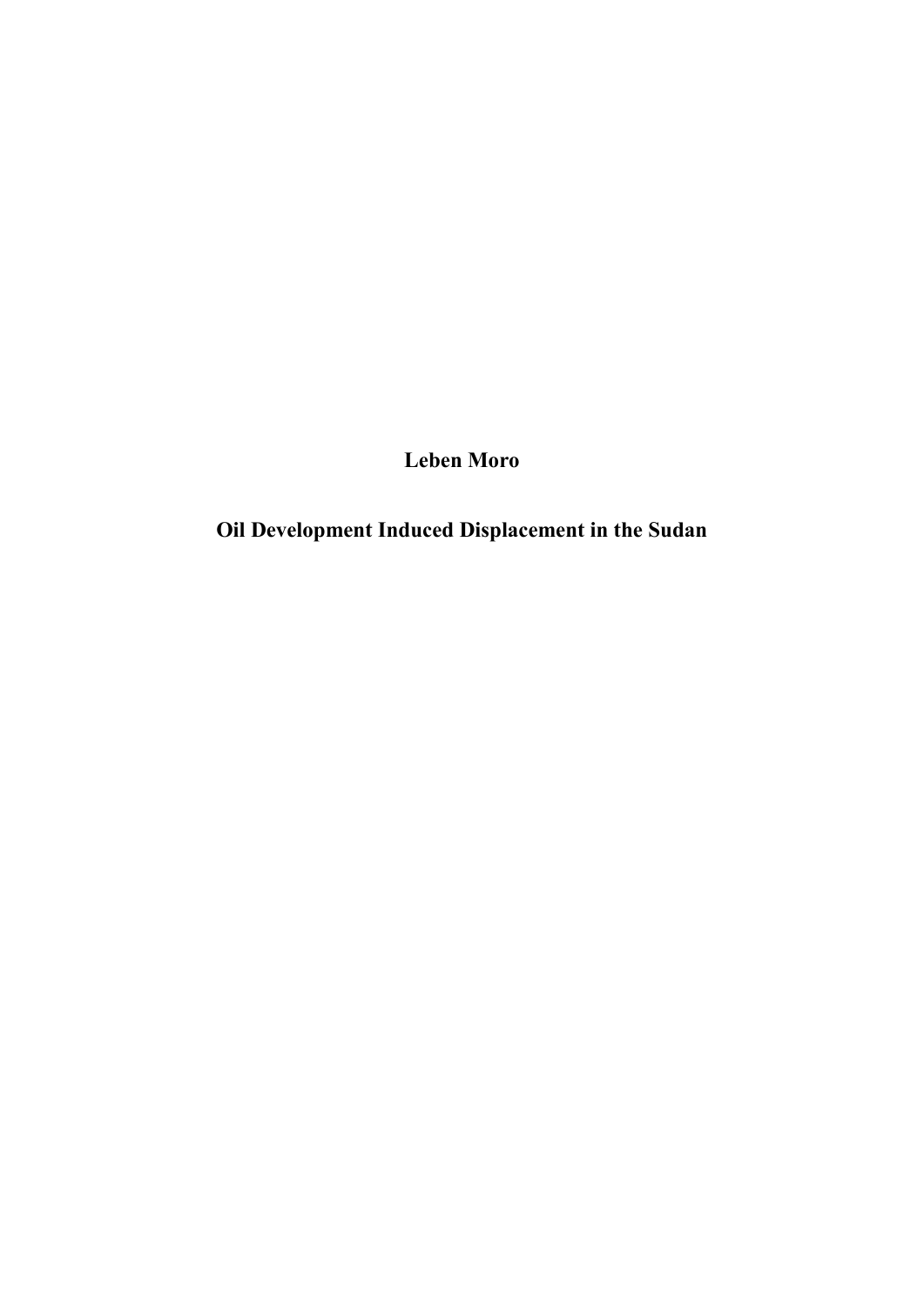**Leben Moro**

**Oil Development Induced Displacement in the Sudan**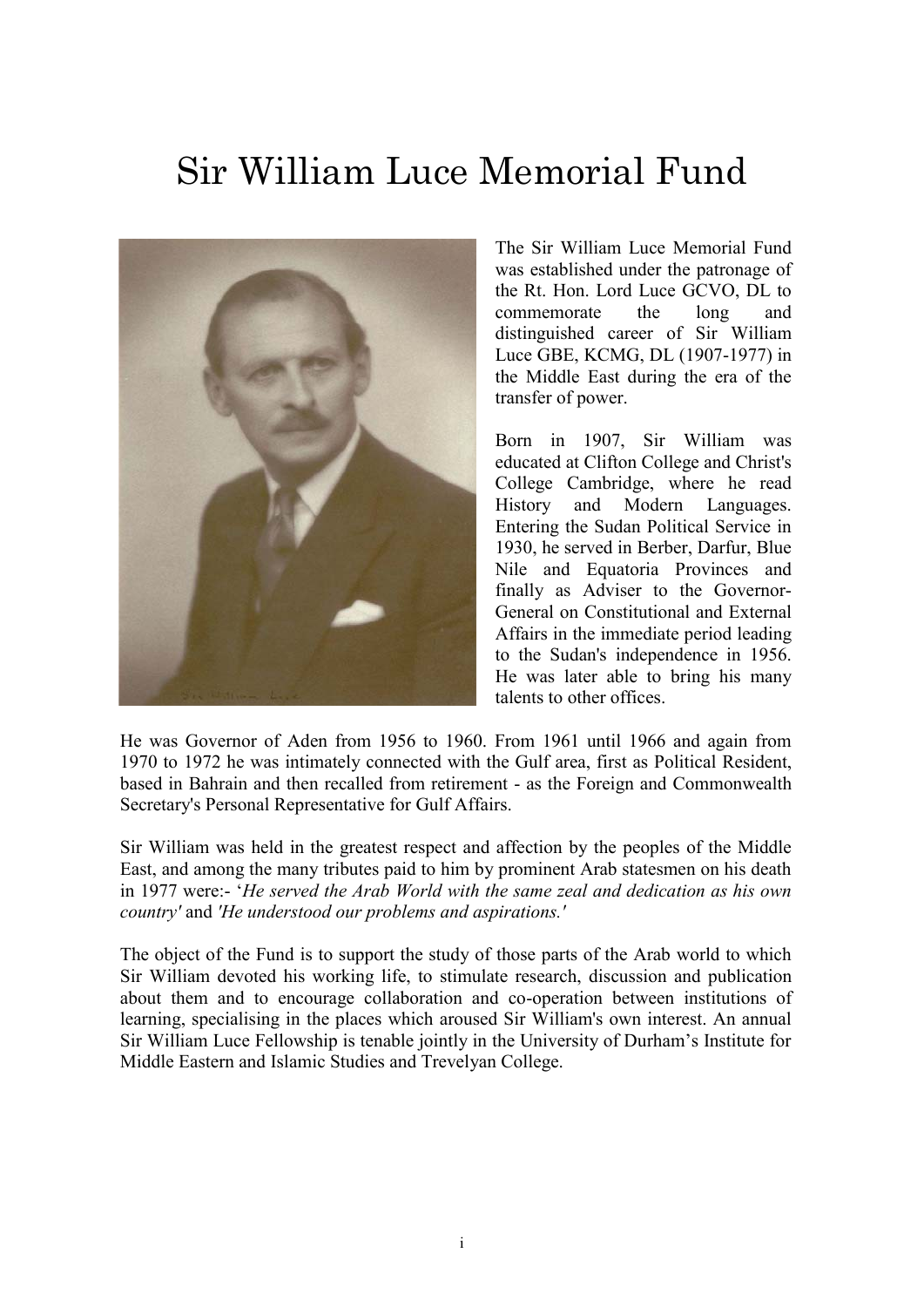# Sir William Luce Memorial Fund



The Sir William Luce Memorial Fund was established under the patronage of the Rt. Hon. Lord Luce GCVO, DL to commemorate the long and distinguished career of Sir William Luce GBE, KCMG, DL (1907-1977) in the Middle East during the era of the transfer of power.

Born in 1907, Sir William was educated at Clifton College and Christ's College Cambridge, where he read History and Modern Languages. Entering the Sudan Political Service in 1930, he served in Berber, Darfur, Blue Nile and Equatoria Provinces and finally as Adviser to the Governor-General on Constitutional and External Affairs in the immediate period leading to the Sudan's independence in 1956. He was later able to bring his many talents to other offices.

He was Governor of Aden from 1956 to 1960. From 1961 until 1966 and again from 1970 to 1972 he was intimately connected with the Gulf area, first as Political Resident, based in Bahrain and then recalled from retirement - as the Foreign and Commonwealth Secretary's Personal Representative for Gulf Affairs.

Sir William was held in the greatest respect and affection by the peoples of the Middle East, and among the many tributes paid to him by prominent Arab statesmen on his death in 1977 were:- "*He served the Arab World with the same zeal and dedication as his own country'* and *'He understood our problems and aspirations.'* 

The object of the Fund is to support the study of those parts of the Arab world to which Sir William devoted his working life, to stimulate research, discussion and publication about them and to encourage collaboration and co-operation between institutions of learning, specialising in the places which aroused Sir William's own interest. An annual Sir William Luce Fellowship is tenable jointly in the University of Durham"s Institute for Middle Eastern and Islamic Studies and Trevelyan College.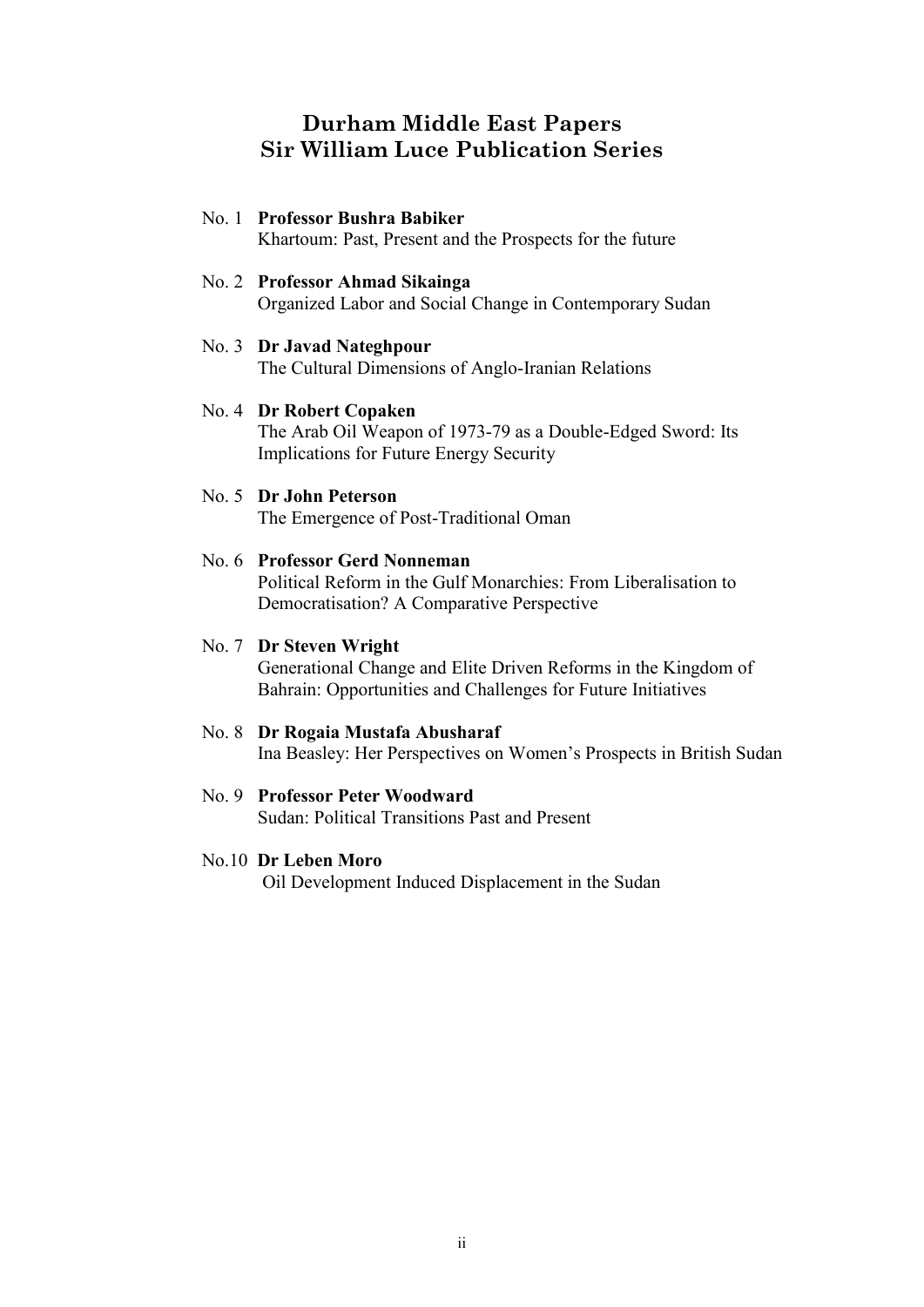## **Durham Middle East Papers Sir William Luce Publication Series**

#### No. 1 **Professor Bushra Babiker**

Khartoum: Past, Present and the Prospects for the future

#### No. 2 **Professor Ahmad Sikainga**

Organized Labor and Social Change in Contemporary Sudan

#### No. 3 **Dr Javad Nateghpour**

The Cultural Dimensions of Anglo-Iranian Relations

#### No. 4 **Dr Robert Copaken**

The Arab Oil Weapon of 1973-79 as a Double-Edged Sword: Its Implications for Future Energy Security

#### No. 5 **Dr John Peterson**

The Emergence of Post-Traditional Oman

#### No. 6 **Professor Gerd Nonneman**

Political Reform in the Gulf Monarchies: From Liberalisation to Democratisation? A Comparative Perspective

## No. 7 **Dr Steven Wright**

Generational Change and Elite Driven Reforms in the Kingdom of Bahrain: Opportunities and Challenges for Future Initiatives

#### No. 8 **Dr Rogaia Mustafa Abusharaf**

Ina Beasley: Her Perspectives on Women"s Prospects in British Sudan

#### No. 9 **Professor Peter Woodward**

Sudan: Political Transitions Past and Present

#### No.10 **Dr Leben Moro**

Oil Development Induced Displacement in the Sudan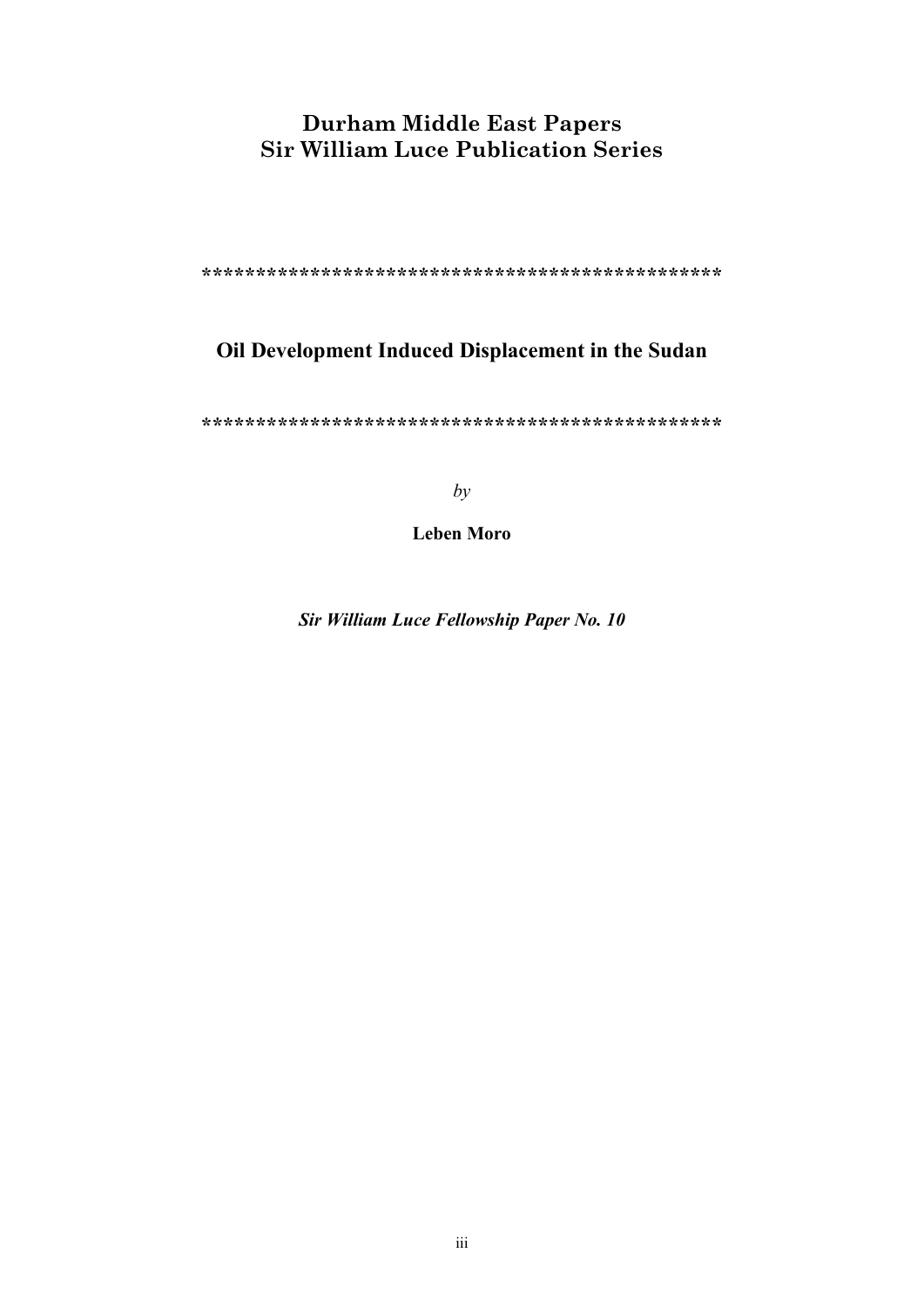# **Durham Middle East Papers Sir William Luce Publication Series**

**\*\*\*\*\*\*\*\*\*\*\*\*\*\*\*\*\*\*\*\*\*\*\*\*\*\*\*\*\*\*\*\*\*\*\*\*\*\*\*\*\*\*\*\*\*\*\*\***

# **Oil Development Induced Displacement in the Sudan**

**\*\*\*\*\*\*\*\*\*\*\*\*\*\*\*\*\*\*\*\*\*\*\*\*\*\*\*\*\*\*\*\*\*\*\*\*\*\*\*\*\*\*\*\*\*\*\*\***

*by*

**Leben Moro**

*Sir William Luce Fellowship Paper No. 10*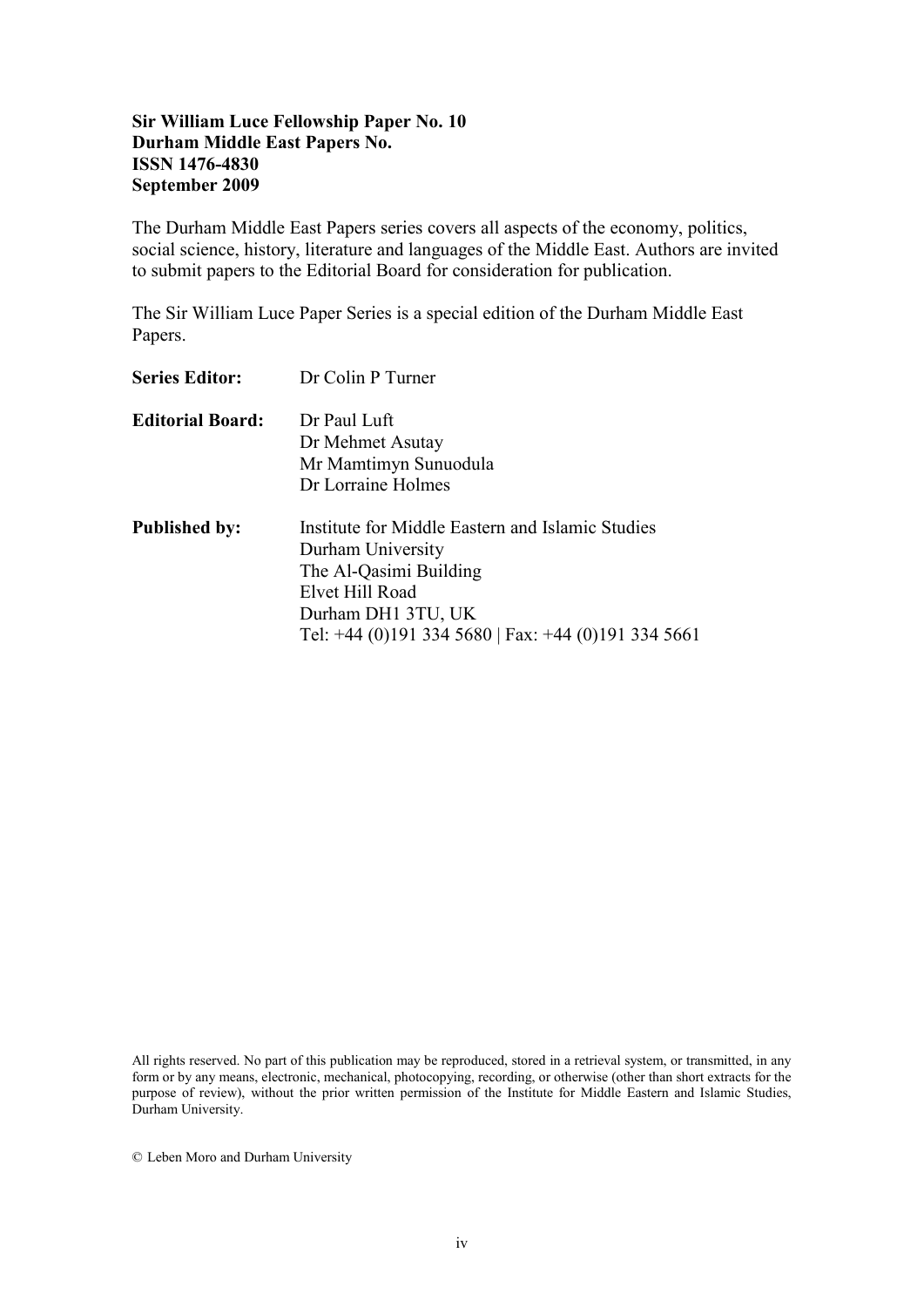## **Sir William Luce Fellowship Paper No. 10 Durham Middle East Papers No. ISSN 1476-4830 September 2009**

The Durham Middle East Papers series covers all aspects of the economy, politics, social science, history, literature and languages of the Middle East. Authors are invited to submit papers to the Editorial Board for consideration for publication.

The Sir William Luce Paper Series is a special edition of the Durham Middle East Papers.

| <b>Series Editor:</b>   | Dr Colin P Turner                                                                                                                                                                               |  |  |  |  |  |  |
|-------------------------|-------------------------------------------------------------------------------------------------------------------------------------------------------------------------------------------------|--|--|--|--|--|--|
| <b>Editorial Board:</b> | Dr Paul Luft<br>Dr Mehmet Asutay<br>Mr Mamtimyn Sunuodula<br>Dr Lorraine Holmes                                                                                                                 |  |  |  |  |  |  |
| <b>Published by:</b>    | Institute for Middle Eastern and Islamic Studies<br>Durham University<br>The Al-Qasimi Building<br>Elvet Hill Road<br>Durham DH1 3TU, UK<br>Tel: +44 (0)191 334 5680   Fax: +44 (0)191 334 5661 |  |  |  |  |  |  |

All rights reserved. No part of this publication may be reproduced, stored in a retrieval system, or transmitted, in any form or by any means, electronic, mechanical, photocopying, recording, or otherwise (other than short extracts for the purpose of review), without the prior written permission of the Institute for Middle Eastern and Islamic Studies, Durham University.

© Leben Moro and Durham University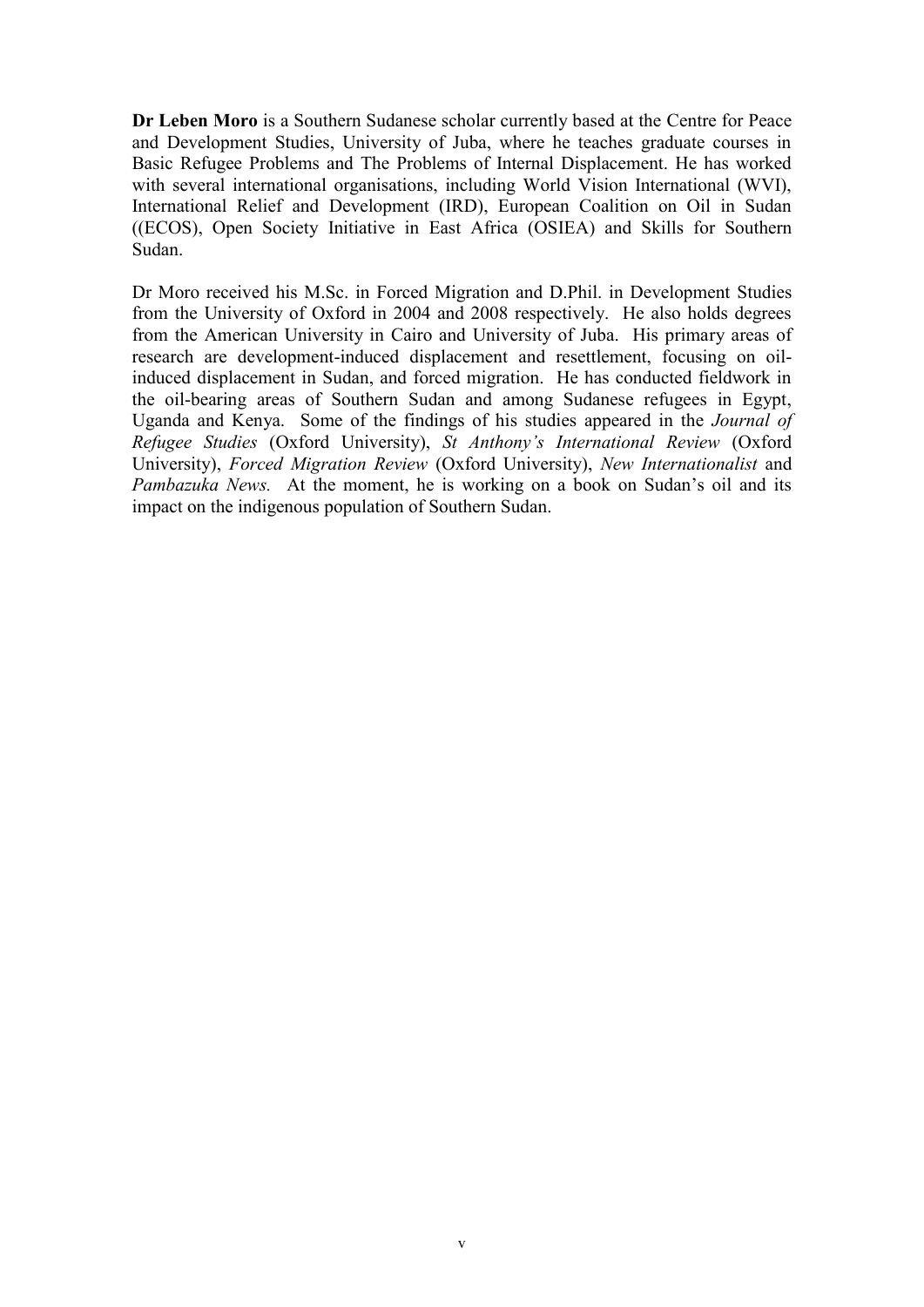**Dr Leben Moro** is a Southern Sudanese scholar currently based at the Centre for Peace and Development Studies, University of Juba, where he teaches graduate courses in Basic Refugee Problems and The Problems of Internal Displacement. He has worked with several international organisations, including World Vision International (WVI), International Relief and Development (IRD), European Coalition on Oil in Sudan ((ECOS), Open Society Initiative in East Africa (OSIEA) and Skills for Southern Sudan.

Dr Moro received his M.Sc. in Forced Migration and D.Phil. in Development Studies from the University of Oxford in 2004 and 2008 respectively. He also holds degrees from the American University in Cairo and University of Juba. His primary areas of research are development-induced displacement and resettlement, focusing on oilinduced displacement in Sudan, and forced migration. He has conducted fieldwork in the oil-bearing areas of Southern Sudan and among Sudanese refugees in Egypt, Uganda and Kenya. Some of the findings of his studies appeared in the *Journal of Refugee Studies* (Oxford University), *St Anthony's International Review* (Oxford University), *Forced Migration Review* (Oxford University), *New Internationalist* and *Pambazuka News.* At the moment, he is working on a book on Sudan's oil and its impact on the indigenous population of Southern Sudan.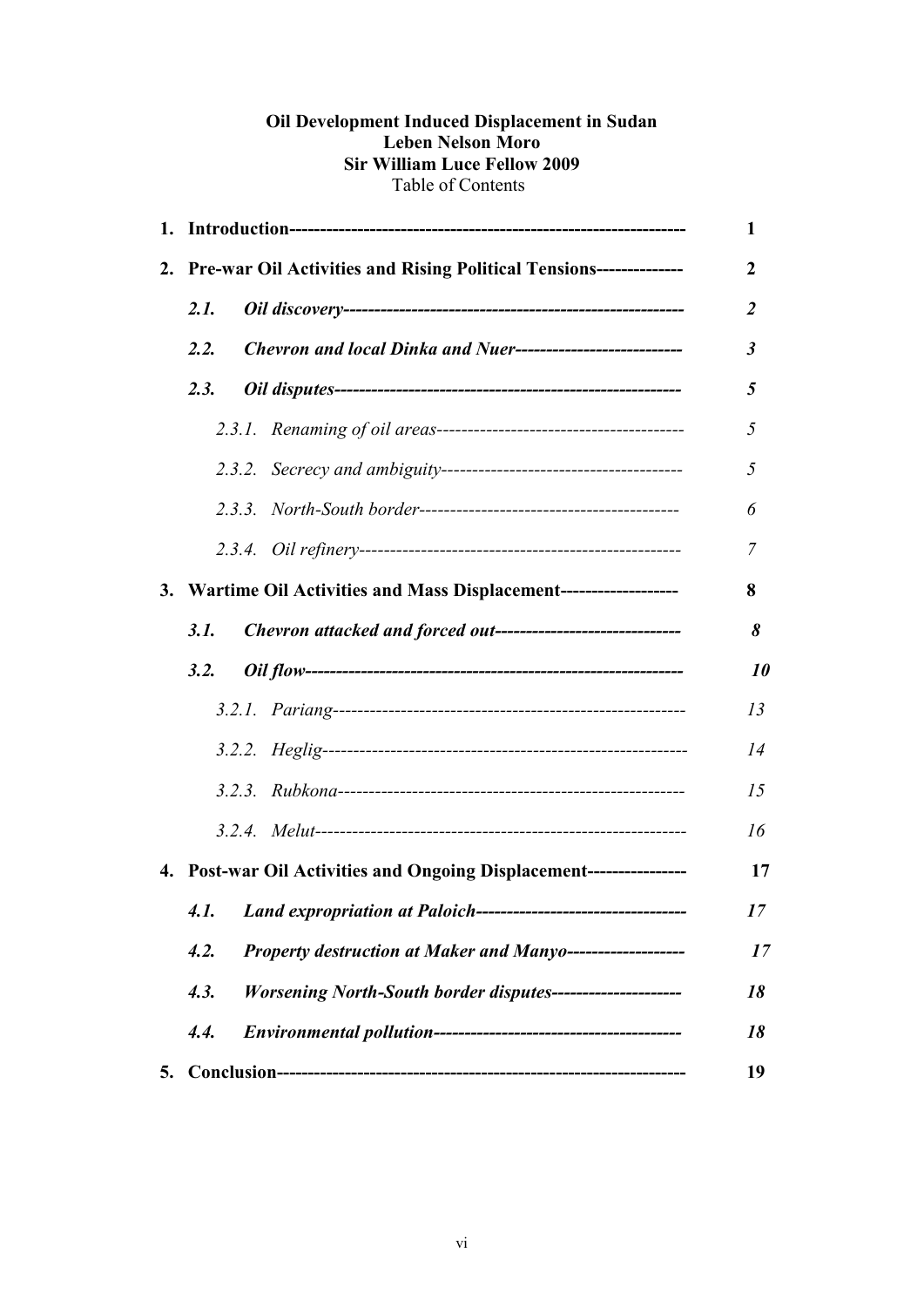## **Oil Development Induced Displacement in Sudan Leben Nelson Moro Sir William Luce Fellow 2009** Table of Contents

|    |                                                                        |                                                                          | 1              |  |  |  |  |
|----|------------------------------------------------------------------------|--------------------------------------------------------------------------|----------------|--|--|--|--|
|    | 2. Pre-war Oil Activities and Rising Political Tensions--------------  |                                                                          |                |  |  |  |  |
|    | 2.1.                                                                   |                                                                          | $\overline{2}$ |  |  |  |  |
|    | Chevron and local Dinka and Nuer----------------------------<br>2.2.   |                                                                          |                |  |  |  |  |
|    | 2.3.                                                                   |                                                                          | 5              |  |  |  |  |
|    |                                                                        |                                                                          | 5              |  |  |  |  |
|    |                                                                        |                                                                          | 5              |  |  |  |  |
|    |                                                                        |                                                                          | 6              |  |  |  |  |
|    |                                                                        |                                                                          | 7              |  |  |  |  |
|    |                                                                        | 3. Wartime Oil Activities and Mass Displacement--------------------<br>8 |                |  |  |  |  |
|    | Chevron attacked and forced out-------------------------------<br>3.1. |                                                                          |                |  |  |  |  |
|    | 3.2.                                                                   |                                                                          | 10             |  |  |  |  |
|    |                                                                        |                                                                          | 13             |  |  |  |  |
|    |                                                                        |                                                                          | 14             |  |  |  |  |
|    |                                                                        |                                                                          | 15             |  |  |  |  |
|    |                                                                        |                                                                          | 16             |  |  |  |  |
|    |                                                                        | 4. Post-war Oil Activities and Ongoing Displacement----------------      | 17             |  |  |  |  |
|    |                                                                        | 4.1. Land expropriation at Paloich-----------------------------          | 17             |  |  |  |  |
|    | 4.2.<br>Property destruction at Maker and Manyo-------------------     |                                                                          |                |  |  |  |  |
|    | 4.3.<br>Worsening North-South border disputes----------------------    |                                                                          |                |  |  |  |  |
|    | 4.4.                                                                   |                                                                          | 18             |  |  |  |  |
| 5. |                                                                        |                                                                          | 19             |  |  |  |  |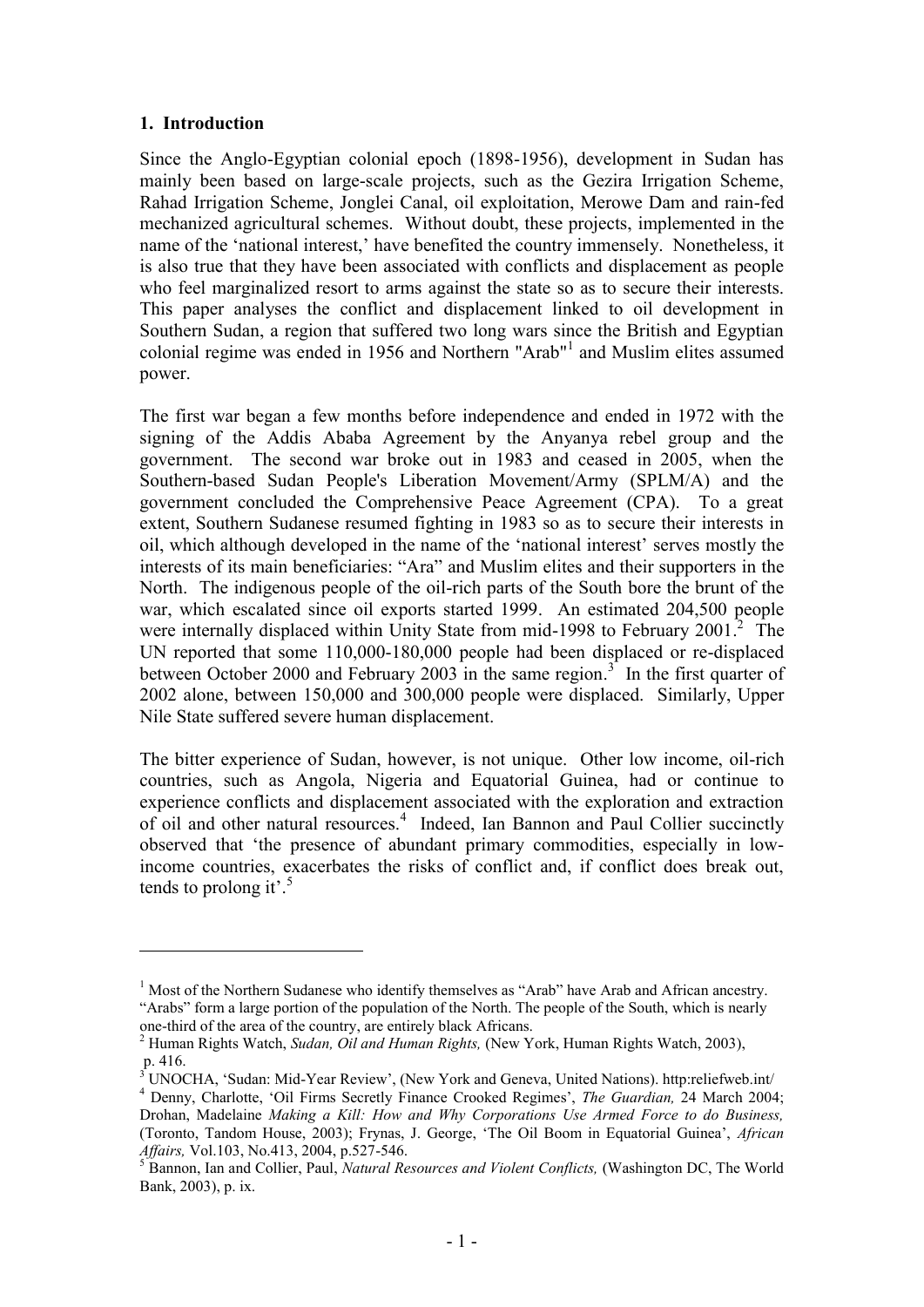#### **1. Introduction**

1

Since the Anglo-Egyptian colonial epoch (1898-1956), development in Sudan has mainly been based on large-scale projects, such as the Gezira Irrigation Scheme, Rahad Irrigation Scheme, Jonglei Canal, oil exploitation, Merowe Dam and rain-fed mechanized agricultural schemes. Without doubt, these projects, implemented in the name of the 'national interest,' have benefited the country immensely. Nonetheless, it is also true that they have been associated with conflicts and displacement as people who feel marginalized resort to arms against the state so as to secure their interests. This paper analyses the conflict and displacement linked to oil development in Southern Sudan, a region that suffered two long wars since the British and Egyptian colonial regime was ended in 1956 and Northern "Arab"<sup>1</sup> and Muslim elites assumed power.

The first war began a few months before independence and ended in 1972 with the signing of the Addis Ababa Agreement by the Anyanya rebel group and the government. The second war broke out in 1983 and ceased in 2005, when the Southern-based Sudan People's Liberation Movement/Army (SPLM/A) and the government concluded the Comprehensive Peace Agreement (CPA). To a great extent, Southern Sudanese resumed fighting in 1983 so as to secure their interests in oil, which although developed in the name of the "national interest" serves mostly the interests of its main beneficiaries: "Ara" and Muslim elites and their supporters in the North. The indigenous people of the oil-rich parts of the South bore the brunt of the war, which escalated since oil exports started 1999. An estimated 204,500 people were internally displaced within Unity State from mid-1998 to February 2001.<sup>2</sup> The UN reported that some 110,000-180,000 people had been displaced or re-displaced between October 2000 and February 2003 in the same region.<sup>3</sup> In the first quarter of 2002 alone, between 150,000 and 300,000 people were displaced. Similarly, Upper Nile State suffered severe human displacement.

The bitter experience of Sudan, however, is not unique. Other low income, oil-rich countries, such as Angola, Nigeria and Equatorial Guinea, had or continue to experience conflicts and displacement associated with the exploration and extraction of oil and other natural resources.<sup>4</sup> Indeed, Ian Bannon and Paul Collier succinctly observed that "the presence of abundant primary commodities, especially in lowincome countries, exacerbates the risks of conflict and, if conflict does break out, tends to prolong it'.<sup>5</sup>

<sup>&</sup>lt;sup>1</sup> Most of the Northern Sudanese who identify themselves as "Arab" have Arab and African ancestry. "Arabs" form a large portion of the population of the North. The people of the South, which is nearly one-third of the area of the country, are entirely black Africans.

<sup>2</sup> Human Rights Watch, *Sudan, Oil and Human Rights,* (New York, Human Rights Watch, 2003), p. 416.

<sup>&</sup>lt;sup>3</sup> UNOCHA, 'Sudan: Mid-Year Review', (New York and Geneva, United Nations). http:reliefweb.int/ <sup>4</sup> Denny, Charlotte, 'Oil Firms Secretly Finance Crooked Regimes', *The Guardian*, 24 March 2004; Drohan, Madelaine *Making a Kill: How and Why Corporations Use Armed Force to do Business,*  (Toronto, Tandom House, 2003); Frynas, J. George, "The Oil Boom in Equatorial Guinea", *African Affairs,* Vol.103, No.413, 2004, p.527-546.

<sup>5</sup> Bannon, Ian and Collier, Paul, *Natural Resources and Violent Conflicts,* (Washington DC, The World Bank, 2003), p. ix.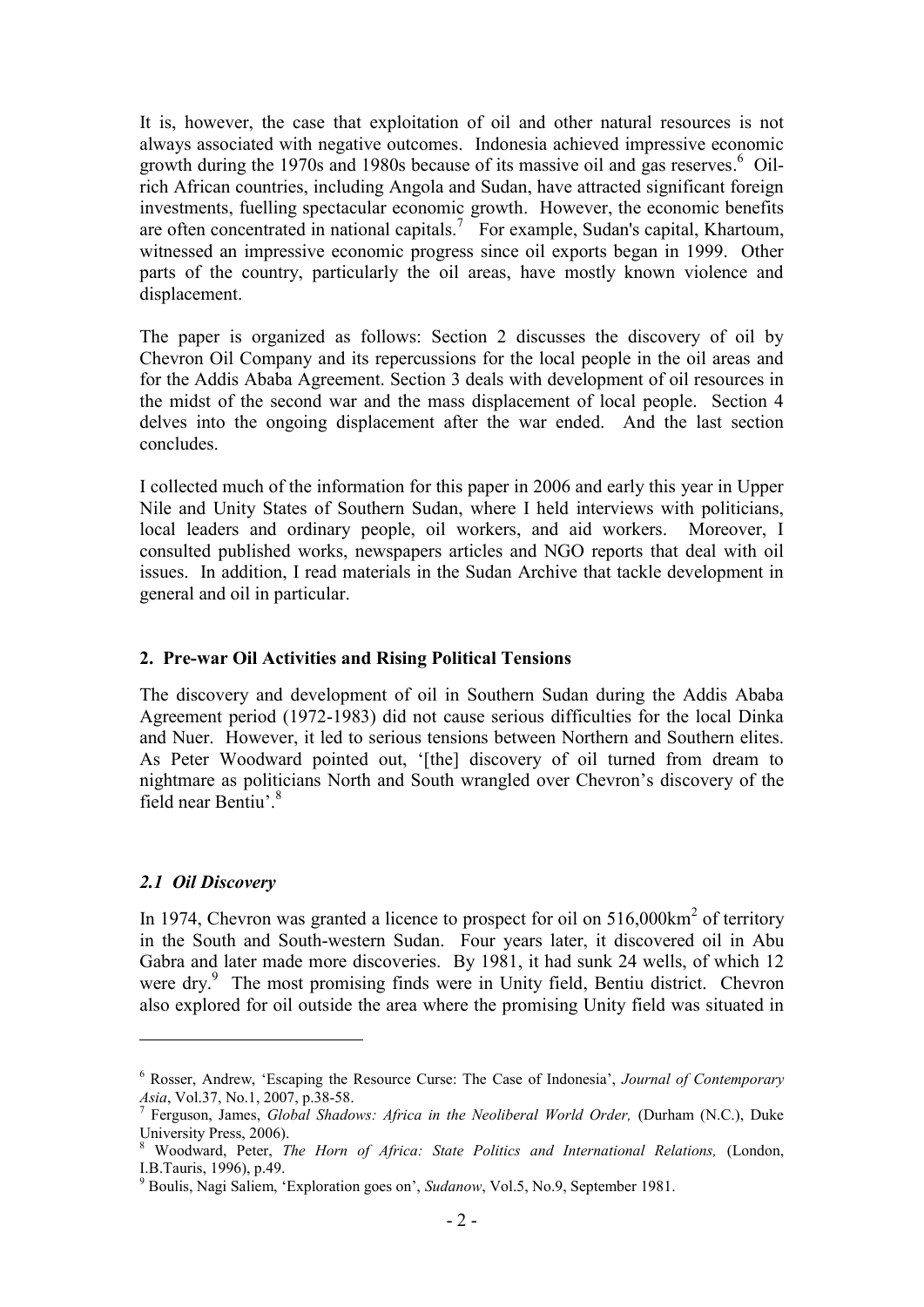It is, however, the case that exploitation of oil and other natural resources is not always associated with negative outcomes. Indonesia achieved impressive economic growth during the 1970s and 1980s because of its massive oil and gas reserves.<sup>6</sup> Oilrich African countries, including Angola and Sudan, have attracted significant foreign investments, fuelling spectacular economic growth. However, the economic benefits are often concentrated in national capitals.<sup>7</sup> For example, Sudan's capital, Khartoum, witnessed an impressive economic progress since oil exports began in 1999. Other parts of the country, particularly the oil areas, have mostly known violence and displacement.

The paper is organized as follows: Section 2 discusses the discovery of oil by Chevron Oil Company and its repercussions for the local people in the oil areas and for the Addis Ababa Agreement. Section 3 deals with development of oil resources in the midst of the second war and the mass displacement of local people. Section 4 delves into the ongoing displacement after the war ended. And the last section concludes.

I collected much of the information for this paper in 2006 and early this year in Upper Nile and Unity States of Southern Sudan, where I held interviews with politicians, local leaders and ordinary people, oil workers, and aid workers. Moreover, I consulted published works, newspapers articles and NGO reports that deal with oil issues. In addition, I read materials in the Sudan Archive that tackle development in general and oil in particular.

#### **2. Pre-war Oil Activities and Rising Political Tensions**

The discovery and development of oil in Southern Sudan during the Addis Ababa Agreement period (1972-1983) did not cause serious difficulties for the local Dinka and Nuer. However, it led to serious tensions between Northern and Southern elites. As Peter Woodward pointed out, "[the] discovery of oil turned from dream to nightmare as politicians North and South wrangled over Chevron"s discovery of the field near Bentiu'.<sup>8</sup>

## *2.1 Oil Discovery*

1

In 1974, Chevron was granted a licence to prospect for oil on  $516,000 \text{km}^2$  of territory in the South and South-western Sudan. Four years later, it discovered oil in Abu Gabra and later made more discoveries. By 1981, it had sunk 24 wells, of which 12 were dry.<sup>9</sup> The most promising finds were in Unity field, Bentiu district. Chevron also explored for oil outside the area where the promising Unity field was situated in

<sup>6</sup> Rosser, Andrew, "Escaping the Resource Curse: The Case of Indonesia", *Journal of Contemporary Asia*, Vol.37, No.1, 2007, p.38-58.

<sup>&</sup>lt;sup>7</sup> Ferguson, James, *Global Shadows: Africa in the Neoliberal World Order*, (Durham (N.C.), Duke University Press, 2006).

<sup>8</sup> Woodward, Peter, *The Horn of Africa: State Politics and International Relations,* (London, I.B.Tauris, 1996), p.49.

<sup>9</sup> Boulis, Nagi Saliem, "Exploration goes on", *Sudanow*, Vol.5, No.9, September 1981.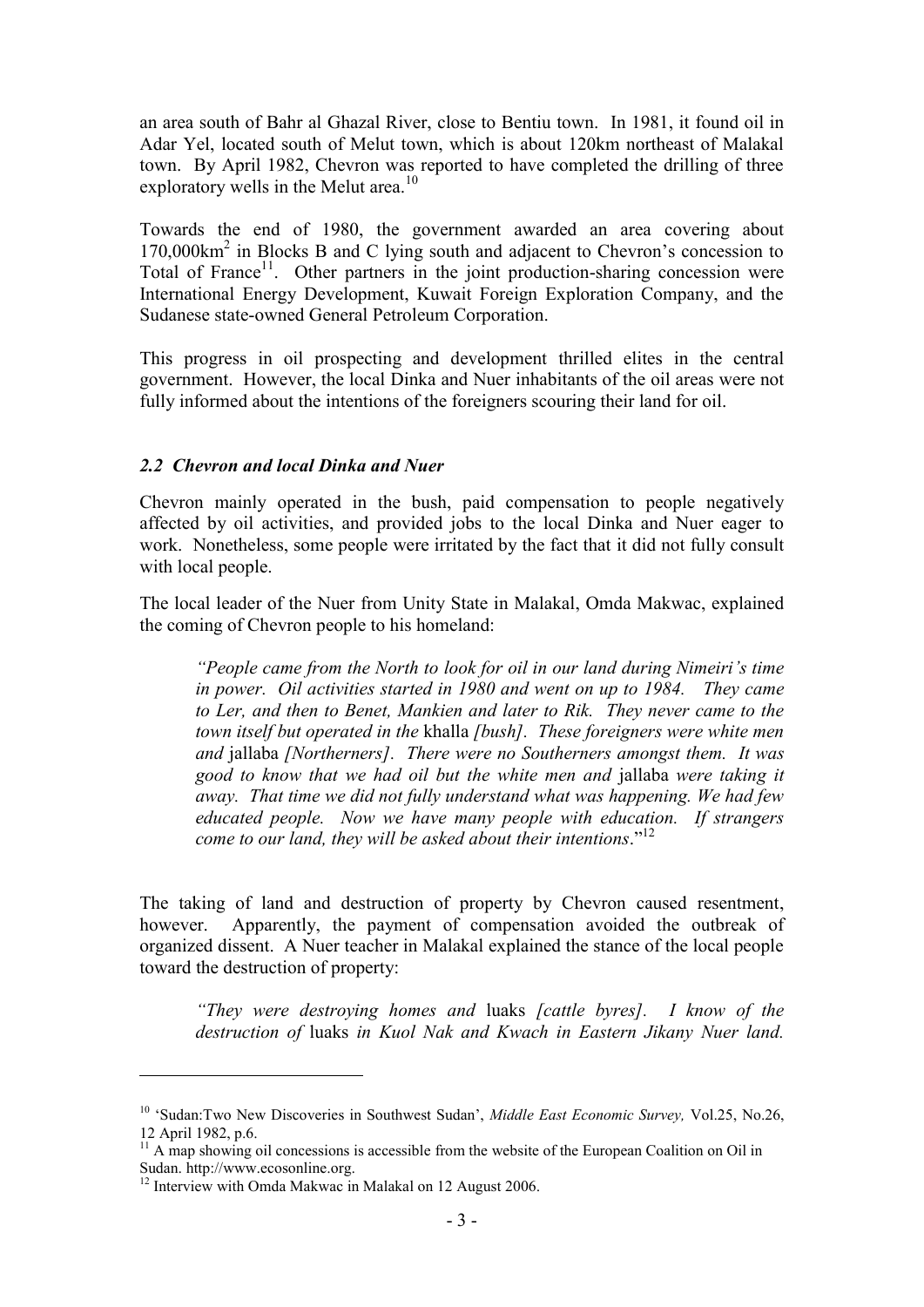an area south of Bahr al Ghazal River, close to Bentiu town. In 1981, it found oil in Adar Yel, located south of Melut town, which is about 120km northeast of Malakal town. By April 1982, Chevron was reported to have completed the drilling of three exploratory wells in the Melut area.<sup>10</sup>

Towards the end of 1980, the government awarded an area covering about 170,000km<sup>2</sup> in Blocks B and C lying south and adjacent to Chevron's concession to Total of France<sup>11</sup>. Other partners in the joint production-sharing concession were International Energy Development, Kuwait Foreign Exploration Company, and the Sudanese state-owned General Petroleum Corporation.

This progress in oil prospecting and development thrilled elites in the central government. However, the local Dinka and Nuer inhabitants of the oil areas were not fully informed about the intentions of the foreigners scouring their land for oil.

## *2.2 Chevron and local Dinka and Nuer*

Chevron mainly operated in the bush, paid compensation to people negatively affected by oil activities, and provided jobs to the local Dinka and Nuer eager to work. Nonetheless, some people were irritated by the fact that it did not fully consult with local people.

The local leader of the Nuer from Unity State in Malakal, Omda Makwac, explained the coming of Chevron people to his homeland:

*"People came from the North to look for oil in our land during Nimeiri's time in power. Oil activities started in 1980 and went on up to 1984. They came to Ler, and then to Benet, Mankien and later to Rik. They never came to the town itself but operated in the* khalla *[bush]. These foreigners were white men and* jallaba *[Northerners]. There were no Southerners amongst them. It was good to know that we had oil but the white men and* jallaba *were taking it away. That time we did not fully understand what was happening. We had few educated people. Now we have many people with education. If strangers come to our land, they will be asked about their intentions*." 12

The taking of land and destruction of property by Chevron caused resentment, however. Apparently, the payment of compensation avoided the outbreak of organized dissent. A Nuer teacher in Malakal explained the stance of the local people toward the destruction of property:

*"They were destroying homes and* luaks *[cattle byres]. I know of the destruction of* luaks *in Kuol Nak and Kwach in Eastern Jikany Nuer land.* 

1

<sup>10</sup> "Sudan:Two New Discoveries in Southwest Sudan", *Middle East Economic Survey,* Vol.25, No.26, 12 April 1982, p.6.

 $11$  A map showing oil concessions is accessible from the website of the European Coalition on Oil in Sudan. http://www.ecosonline.org.

<sup>&</sup>lt;sup>12</sup> Interview with Omda Makwac in Malakal on 12 August 2006.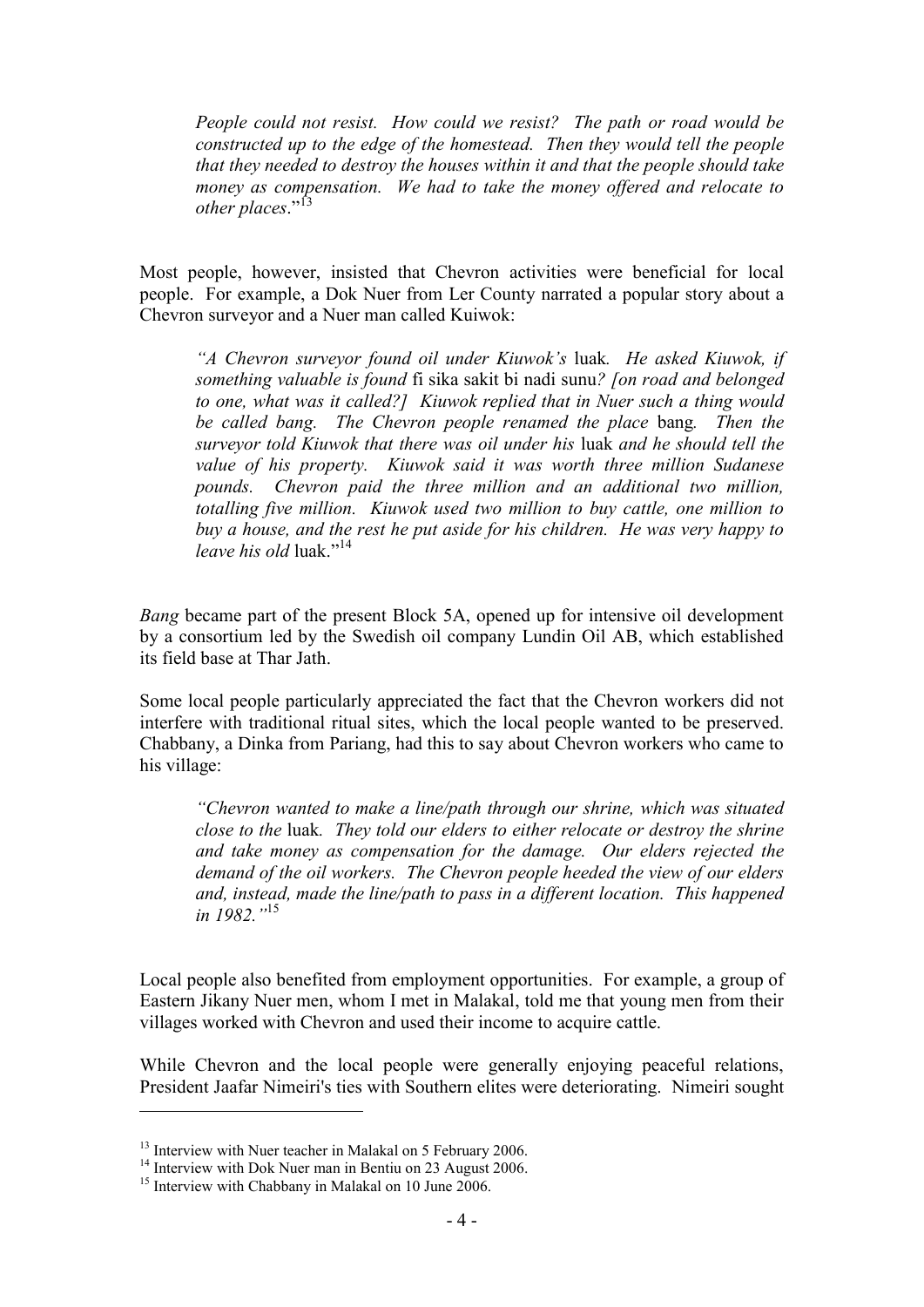*People could not resist. How could we resist? The path or road would be constructed up to the edge of the homestead. Then they would tell the people that they needed to destroy the houses within it and that the people should take money as compensation. We had to take the money offered and relocate to*  other places."<sup>13</sup>

Most people, however, insisted that Chevron activities were beneficial for local people. For example, a Dok Nuer from Ler County narrated a popular story about a Chevron surveyor and a Nuer man called Kuiwok:

*"A Chevron surveyor found oil under Kiuwok's* luak*. He asked Kiuwok, if something valuable is found* fi sika sakit bi nadi sunu*? [on road and belonged to one, what was it called?] Kiuwok replied that in Nuer such a thing would be called bang. The Chevron people renamed the place* bang*. Then the surveyor told Kiuwok that there was oil under his* luak *and he should tell the value of his property. Kiuwok said it was worth three million Sudanese pounds. Chevron paid the three million and an additional two million, totalling five million. Kiuwok used two million to buy cattle, one million to buy a house, and the rest he put aside for his children. He was very happy to leave his old* luak." 14

*Bang* became part of the present Block 5A, opened up for intensive oil development by a consortium led by the Swedish oil company Lundin Oil AB, which established its field base at Thar Jath.

Some local people particularly appreciated the fact that the Chevron workers did not interfere with traditional ritual sites, which the local people wanted to be preserved. Chabbany, a Dinka from Pariang, had this to say about Chevron workers who came to his village:

*"Chevron wanted to make a line/path through our shrine, which was situated close to the* luak*. They told our elders to either relocate or destroy the shrine and take money as compensation for the damage. Our elders rejected the demand of the oil workers. The Chevron people heeded the view of our elders and, instead, made the line/path to pass in a different location. This happened in 1982."*<sup>15</sup>

Local people also benefited from employment opportunities. For example, a group of Eastern Jikany Nuer men, whom I met in Malakal, told me that young men from their villages worked with Chevron and used their income to acquire cattle.

While Chevron and the local people were generally enjoying peaceful relations, President Jaafar Nimeiri's ties with Southern elites were deteriorating. Nimeiri sought

1

<sup>&</sup>lt;sup>13</sup> Interview with Nuer teacher in Malakal on 5 February 2006.

<sup>&</sup>lt;sup>14</sup> Interview with Dok Nuer man in Bentiu on 23 August 2006.

<sup>&</sup>lt;sup>15</sup> Interview with Chabbany in Malakal on 10 June 2006.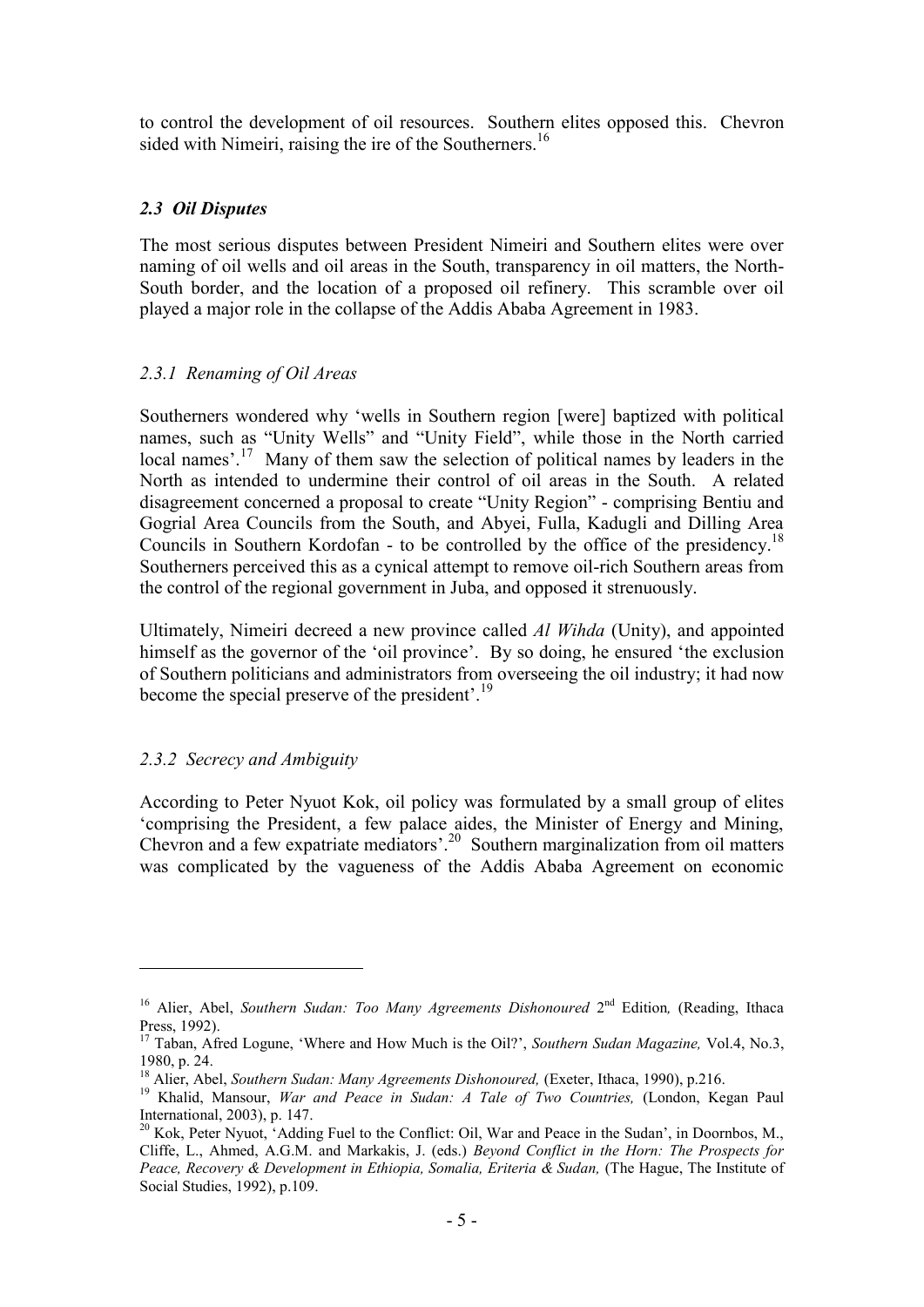to control the development of oil resources. Southern elites opposed this. Chevron sided with Nimeiri, raising the ire of the Southerners.<sup>16</sup>

## *2.3 Oil Disputes*

The most serious disputes between President Nimeiri and Southern elites were over naming of oil wells and oil areas in the South, transparency in oil matters, the North-South border, and the location of a proposed oil refinery. This scramble over oil played a major role in the collapse of the Addis Ababa Agreement in 1983.

## *2.3.1 Renaming of Oil Areas*

Southerners wondered why "wells in Southern region [were] baptized with political names, such as "Unity Wells" and "Unity Field", while those in the North carried local names'.<sup>17</sup> Many of them saw the selection of political names by leaders in the North as intended to undermine their control of oil areas in the South. A related disagreement concerned a proposal to create "Unity Region" - comprising Bentiu and Gogrial Area Councils from the South, and Abyei, Fulla, Kadugli and Dilling Area Councils in Southern Kordofan - to be controlled by the office of the presidency. 18 Southerners perceived this as a cynical attempt to remove oil-rich Southern areas from the control of the regional government in Juba, and opposed it strenuously.

Ultimately, Nimeiri decreed a new province called *Al Wihda* (Unity), and appointed himself as the governor of the 'oil province'. By so doing, he ensured 'the exclusion of Southern politicians and administrators from overseeing the oil industry; it had now become the special preserve of the president'.<sup>19</sup>

## *2.3.2 Secrecy and Ambiguity*

<u>.</u>

According to Peter Nyuot Kok, oil policy was formulated by a small group of elites "comprising the President, a few palace aides, the Minister of Energy and Mining, Chevron and a few expatriate mediators'.<sup>20</sup> Southern marginalization from oil matters was complicated by the vagueness of the Addis Ababa Agreement on economic

<sup>&</sup>lt;sup>16</sup> Alier, Abel, *Southern Sudan: Too Many Agreements Dishonoured* 2<sup>nd</sup> Edition, (Reading, Ithaca Press, 1992).

<sup>17</sup> Taban, Afred Logune, "Where and How Much is the Oil?", *Southern Sudan Magazine,* Vol.4, No.3, 1980, p. 24.

<sup>18</sup> Alier, Abel, *Southern Sudan: Many Agreements Dishonoured,* (Exeter, Ithaca, 1990), p.216.

<sup>&</sup>lt;sup>19</sup> Khalid, Mansour, *War and Peace in Sudan: A Tale of Two Countries, (London, Kegan Paul* International, 2003), p. 147.

<sup>&</sup>lt;sup>20</sup> Kok, Peter Nyuot, 'Adding Fuel to the Conflict: Oil, War and Peace in the Sudan', in Doornbos, M., Cliffe, L., Ahmed, A.G.M. and Markakis, J. (eds.) *Beyond Conflict in the Horn: The Prospects for Peace, Recovery & Development in Ethiopia, Somalia, Eriteria & Sudan,* (The Hague, The Institute of Social Studies, 1992), p.109.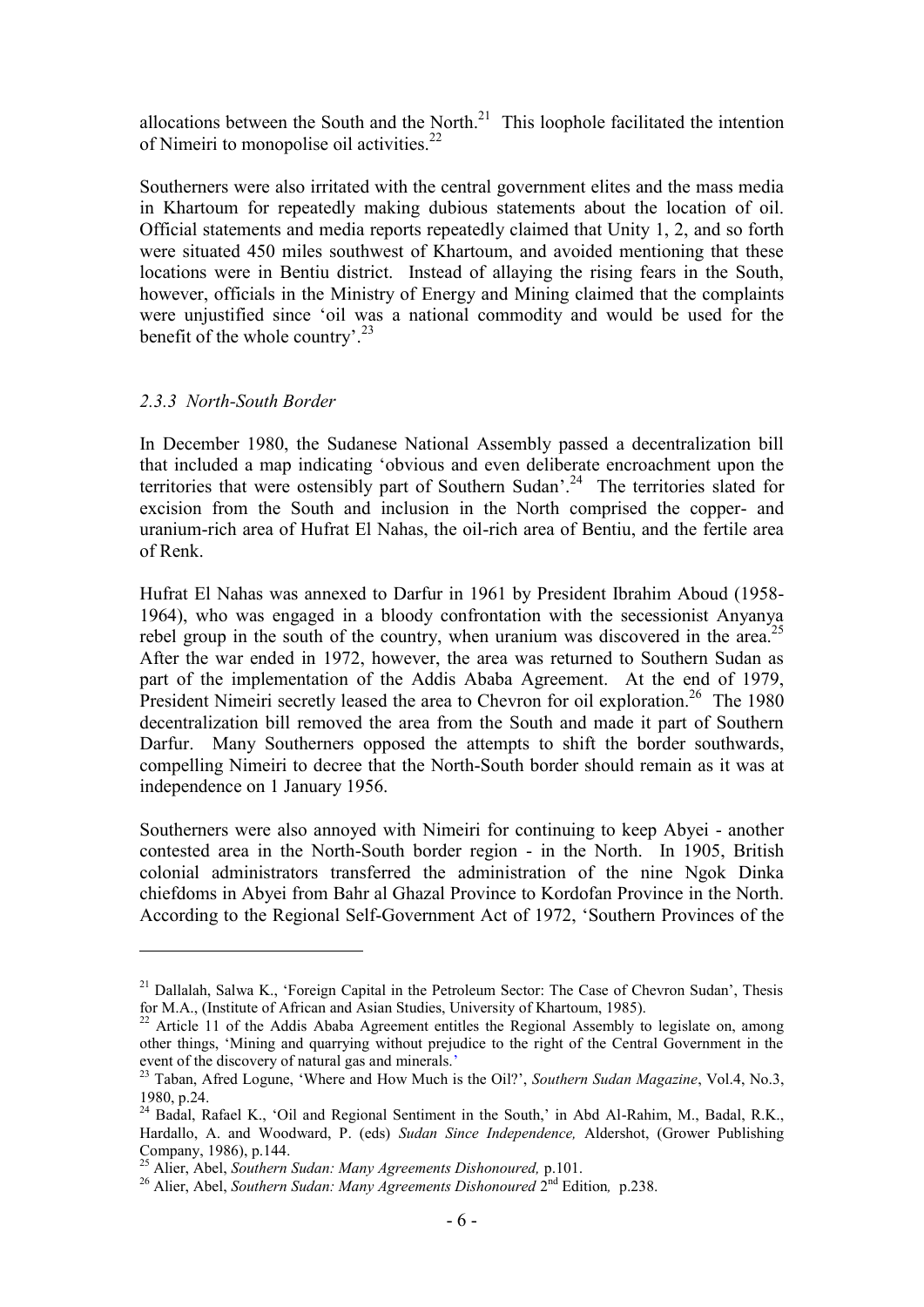allocations between the South and the North. $^{21}$  This loophole facilitated the intention of Nimeiri to monopolise oil activities.<sup>22</sup>

Southerners were also irritated with the central government elites and the mass media in Khartoum for repeatedly making dubious statements about the location of oil. Official statements and media reports repeatedly claimed that Unity 1, 2, and so forth were situated 450 miles southwest of Khartoum, and avoided mentioning that these locations were in Bentiu district. Instead of allaying the rising fears in the South, however, officials in the Ministry of Energy and Mining claimed that the complaints were unjustified since "oil was a national commodity and would be used for the benefit of the whole country'.<sup>23</sup>

#### *2.3.3 North-South Border*

1

In December 1980, the Sudanese National Assembly passed a decentralization bill that included a map indicating "obvious and even deliberate encroachment upon the territories that were ostensibly part of Southern Sudan'.<sup>24</sup> The territories slated for excision from the South and inclusion in the North comprised the copper- and uranium-rich area of Hufrat El Nahas, the oil-rich area of Bentiu, and the fertile area of Renk.

Hufrat El Nahas was annexed to Darfur in 1961 by President Ibrahim Aboud (1958- 1964), who was engaged in a bloody confrontation with the secessionist Anyanya rebel group in the south of the country, when uranium was discovered in the area.<sup>25</sup> After the war ended in 1972, however, the area was returned to Southern Sudan as part of the implementation of the Addis Ababa Agreement. At the end of 1979, President Nimeiri secretly leased the area to Chevron for oil exploration.<sup>26</sup> The 1980 decentralization bill removed the area from the South and made it part of Southern Darfur. Many Southerners opposed the attempts to shift the border southwards, compelling Nimeiri to decree that the North-South border should remain as it was at independence on 1 January 1956.

Southerners were also annoyed with Nimeiri for continuing to keep Abyei - another contested area in the North-South border region - in the North. In 1905, British colonial administrators transferred the administration of the nine Ngok Dinka chiefdoms in Abyei from Bahr al Ghazal Province to Kordofan Province in the North. According to the Regional Self-Government Act of 1972, "Southern Provinces of the

 $21$  Dallalah, Salwa K., 'Foreign Capital in the Petroleum Sector: The Case of Chevron Sudan', Thesis for M.A., (Institute of African and Asian Studies, University of Khartoum, 1985).

 $22$  Article 11 of the Addis Ababa Agreement entitles the Regional Assembly to legislate on, among other things, "Mining and quarrying without prejudice to the right of the Central Government in the event of the discovery of natural gas and minerals."

<sup>23</sup> Taban, Afred Logune, "Where and How Much is the Oil?", *Southern Sudan Magazine*, Vol.4, No.3, 1980, p.24.

<sup>&</sup>lt;sup>24</sup> Badal, Rafael K., 'Oil and Regional Sentiment in the South,' in Abd Al-Rahim, M., Badal, R.K., Hardallo, A. and Woodward, P. (eds) *Sudan Since Independence,* Aldershot, (Grower Publishing Company, 1986), p.144.

<sup>25</sup> Alier, Abel, *Southern Sudan: Many Agreements Dishonoured,* p.101.

<sup>&</sup>lt;sup>26</sup> Alier, Abel, *Southern Sudan: Many Agreements Dishonoured* 2<sup>nd</sup> Edition, p.238.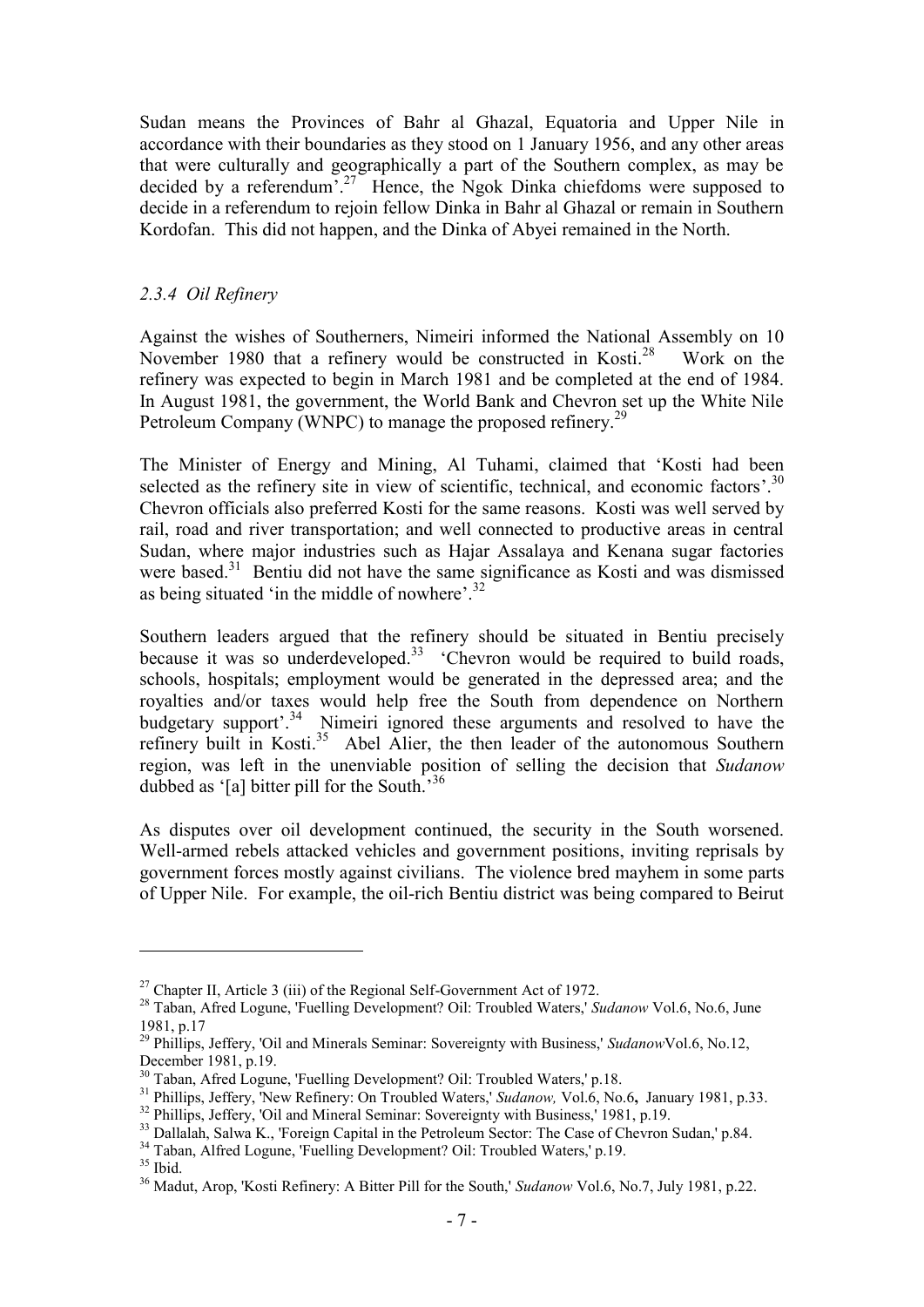Sudan means the Provinces of Bahr al Ghazal, Equatoria and Upper Nile in accordance with their boundaries as they stood on 1 January 1956, and any other areas that were culturally and geographically a part of the Southern complex, as may be decided by a referendum".<sup>27</sup> Hence, the Ngok Dinka chiefdoms were supposed to decide in a referendum to rejoin fellow Dinka in Bahr al Ghazal or remain in Southern Kordofan. This did not happen, and the Dinka of Abyei remained in the North.

## *2.3.4 Oil Refinery*

Against the wishes of Southerners, Nimeiri informed the National Assembly on 10 November 1980 that a refinery would be constructed in Kosti.<sup>28</sup> Work on the refinery was expected to begin in March 1981 and be completed at the end of 1984. In August 1981, the government, the World Bank and Chevron set up the White Nile Petroleum Company (WNPC) to manage the proposed refinery.<sup>29</sup>

The Minister of Energy and Mining, Al Tuhami, claimed that "Kosti had been selected as the refinery site in view of scientific, technical, and economic factors'. $30$ Chevron officials also preferred Kosti for the same reasons. Kosti was well served by rail, road and river transportation; and well connected to productive areas in central Sudan, where major industries such as Hajar Assalaya and Kenana sugar factories were based.<sup>31</sup> Bentiu did not have the same significance as Kosti and was dismissed as being situated 'in the middle of nowhere'.<sup>32</sup>

Southern leaders argued that the refinery should be situated in Bentiu precisely because it was so underdeveloped.<sup>33</sup> 'Chevron would be required to build roads, schools, hospitals; employment would be generated in the depressed area; and the royalties and/or taxes would help free the South from dependence on Northern budgetary support'.<sup>34</sup> Nimeiri ignored these arguments and resolved to have the refinery built in Kosti.<sup>35</sup> Abel Alier, the then leader of the autonomous Southern region, was left in the unenviable position of selling the decision that *Sudanow*  dubbed as '[a] bitter pill for the South.<sup>36</sup>

As disputes over oil development continued, the security in the South worsened. Well-armed rebels attacked vehicles and government positions, inviting reprisals by government forces mostly against civilians. The violence bred mayhem in some parts of Upper Nile. For example, the oil-rich Bentiu district was being compared to Beirut

<sup>34</sup> Taban, Alfred Logune, 'Fuelling Development? Oil: Troubled Waters,' p.19.

1

<sup>&</sup>lt;sup>27</sup> Chapter II, Article 3 (iii) of the Regional Self-Government Act of 1972.

<sup>28</sup> Taban, Afred Logune, 'Fuelling Development? Oil: Troubled Waters,' *Sudanow* Vol.6, No.6, June 1981, p.17

<sup>29</sup> Phillips, Jeffery, 'Oil and Minerals Seminar: Sovereignty with Business,' *Sudanow*Vol.6, No.12, December 1981, p.19.

<sup>&</sup>lt;sup>30</sup> Taban, Afred Logune, 'Fuelling Development? Oil: Troubled Waters,' p.18.

<sup>31</sup> Phillips, Jeffery, 'New Refinery: On Troubled Waters,' *Sudanow,* Vol.6, No.6**,** January 1981, p.33.

<sup>&</sup>lt;sup>32</sup> Phillips, Jeffery, 'Oil and Mineral Seminar: Sovereignty with Business,' 1981, p.19.

<sup>&</sup>lt;sup>33</sup> Dallalah, Salwa K., 'Foreign Capital in the Petroleum Sector: The Case of Chevron Sudan,' p.84.

 $35$  Ibid.

<sup>36</sup> Madut, Arop, 'Kosti Refinery: A Bitter Pill for the South,' *Sudanow* Vol.6, No.7, July 1981, p.22.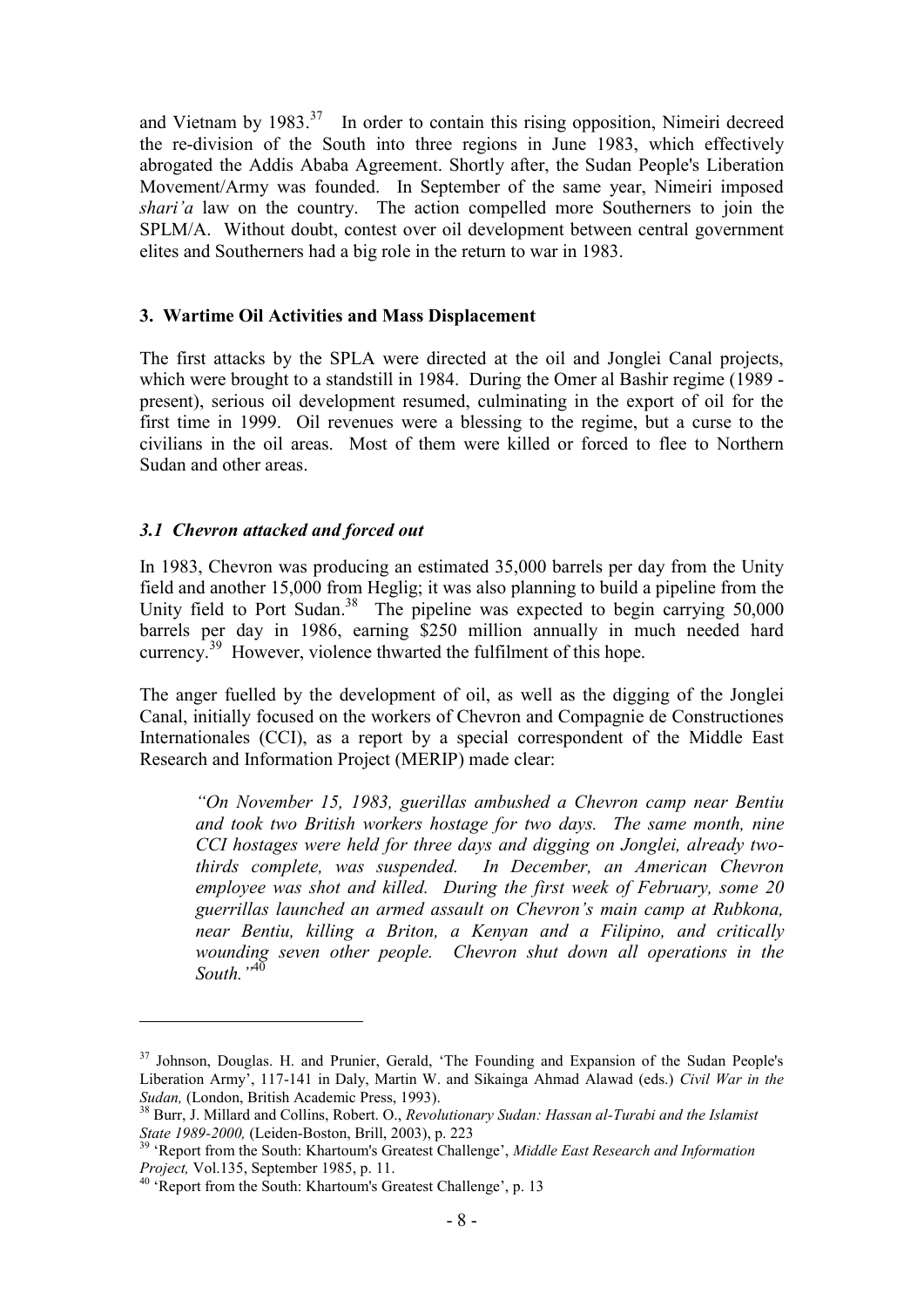and Vietnam by  $1983$ <sup>37</sup> In order to contain this rising opposition, Nimeiri decreed the re-division of the South into three regions in June 1983, which effectively abrogated the Addis Ababa Agreement. Shortly after, the Sudan People's Liberation Movement/Army was founded. In September of the same year, Nimeiri imposed *shari'a* law on the country. The action compelled more Southerners to join the SPLM/A. Without doubt, contest over oil development between central government elites and Southerners had a big role in the return to war in 1983.

#### **3. Wartime Oil Activities and Mass Displacement**

The first attacks by the SPLA were directed at the oil and Jonglei Canal projects, which were brought to a standstill in 1984. During the Omer al Bashir regime (1989 present), serious oil development resumed, culminating in the export of oil for the first time in 1999. Oil revenues were a blessing to the regime, but a curse to the civilians in the oil areas. Most of them were killed or forced to flee to Northern Sudan and other areas.

## *3.1 Chevron attacked and forced out*

In 1983, Chevron was producing an estimated 35,000 barrels per day from the Unity field and another 15,000 from Heglig; it was also planning to build a pipeline from the Unity field to Port Sudan.<sup>38</sup> The pipeline was expected to begin carrying 50,000 barrels per day in 1986, earning \$250 million annually in much needed hard currency.<sup>39</sup> However, violence thwarted the fulfilment of this hope.

The anger fuelled by the development of oil, as well as the digging of the Jonglei Canal, initially focused on the workers of Chevron and Compagnie de Constructiones Internationales (CCI), as a report by a special correspondent of the Middle East Research and Information Project (MERIP) made clear:

*"On November 15, 1983, guerillas ambushed a Chevron camp near Bentiu and took two British workers hostage for two days. The same month, nine CCI hostages were held for three days and digging on Jonglei, already twothirds complete, was suspended. In December, an American Chevron employee was shot and killed. During the first week of February, some 20 guerrillas launched an armed assault on Chevron's main camp at Rubkona, near Bentiu, killing a Briton, a Kenyan and a Filipino, and critically wounding seven other people. Chevron shut down all operations in the South."*<sup>40</sup>

<u>.</u>

<sup>&</sup>lt;sup>37</sup> Johnson, Douglas. H. and Prunier, Gerald, 'The Founding and Expansion of the Sudan People's Liberation Army", 117-141 in Daly, Martin W. and Sikainga Ahmad Alawad (eds.) *Civil War in the Sudan,* (London, British Academic Press, 1993).

<sup>38</sup> Burr, J. Millard and Collins, Robert. O., *Revolutionary Sudan: Hassan al-Turabi and the Islamist State 1989-2000,* (Leiden-Boston, Brill, 2003), p. 223

<sup>39</sup> "Report from the South: Khartoum's Greatest Challenge", *Middle East Research and Information Project,* Vol.135, September 1985, p. 11.

<sup>&</sup>lt;sup>40</sup> 'Report from the South: Khartoum's Greatest Challenge', p. 13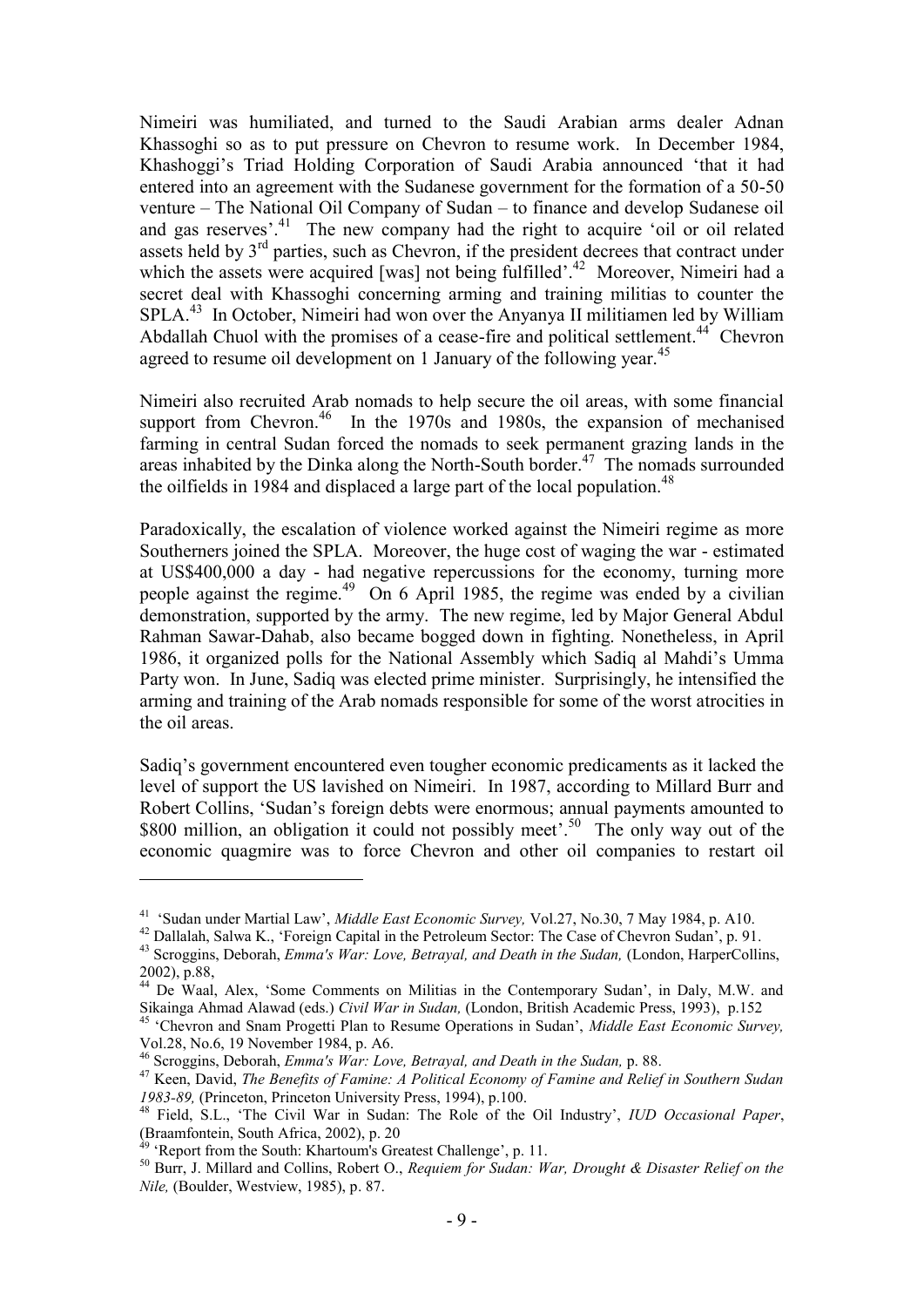Nimeiri was humiliated, and turned to the Saudi Arabian arms dealer Adnan Khassoghi so as to put pressure on Chevron to resume work. In December 1984, Khashoggi"s Triad Holding Corporation of Saudi Arabia announced "that it had entered into an agreement with the Sudanese government for the formation of a 50-50 venture – The National Oil Company of Sudan – to finance and develop Sudanese oil and gas reserves'.<sup>41</sup> The new company had the right to acquire 'oil or oil related assets held by  $3<sup>rd</sup>$  parties, such as Chevron, if the president decrees that contract under which the assets were acquired [was] not being fulfilled'.<sup>42</sup> Moreover, Nimeiri had a secret deal with Khassoghi concerning arming and training militias to counter the SPLA. 43 In October, Nimeiri had won over the Anyanya II militiamen led by William Abdallah Chuol with the promises of a cease-fire and political settlement.<sup>44</sup> Chevron agreed to resume oil development on 1 January of the following year.<sup>45</sup>

Nimeiri also recruited Arab nomads to help secure the oil areas, with some financial support from Chevron.<sup>46</sup> In the 1970s and 1980s, the expansion of mechanised farming in central Sudan forced the nomads to seek permanent grazing lands in the areas inhabited by the Dinka along the North-South border. 47 The nomads surrounded the oilfields in 1984 and displaced a large part of the local population.<sup>48</sup>

Paradoxically, the escalation of violence worked against the Nimeiri regime as more Southerners joined the SPLA. Moreover, the huge cost of waging the war - estimated at US\$400,000 a day - had negative repercussions for the economy, turning more people against the regime.<sup>49</sup> On 6 April 1985, the regime was ended by a civilian demonstration, supported by the army. The new regime, led by Major General Abdul Rahman Sawar-Dahab, also became bogged down in fighting. Nonetheless, in April 1986, it organized polls for the National Assembly which Sadiq al Mahdi"s Umma Party won. In June, Sadiq was elected prime minister. Surprisingly, he intensified the arming and training of the Arab nomads responsible for some of the worst atrocities in the oil areas.

Sadiq"s government encountered even tougher economic predicaments as it lacked the level of support the US lavished on Nimeiri. In 1987, according to Millard Burr and Robert Collins, "Sudan"s foreign debts were enormous; annual payments amounted to \$800 million, an obligation it could not possibly meet'.<sup>50</sup> The only way out of the economic quagmire was to force Chevron and other oil companies to restart oil

1

<sup>&</sup>lt;sup>41</sup> 'Sudan under Martial Law', *Middle East Economic Survey*, Vol.27, No.30, 7 May 1984, p. A10.

<sup>&</sup>lt;sup>42</sup> Dallalah, Salwa K., 'Foreign Capital in the Petroleum Sector: The Case of Chevron Sudan', p. 91.

<sup>&</sup>lt;sup>43</sup> Scroggins, Deborah, *Emma's War: Love, Betrayal, and Death in the Sudan, (London, HarperCollins,* 2002), p.88,

<sup>&</sup>lt;sup>44</sup> De Waal, Alex, 'Some Comments on Militias in the Contemporary Sudan', in Daly, M.W. and Sikainga Ahmad Alawad (eds.) *Civil War in Sudan,* (London, British Academic Press, 1993), p.152

<sup>45</sup> "Chevron and Snam Progetti Plan to Resume Operations in Sudan", *Middle East Economic Survey,*  Vol.28, No.6, 19 November 1984, p. A6.

<sup>46</sup> Scroggins, Deborah, *Emma's War: Love, Betrayal, and Death in the Sudan,* p. 88.

<sup>47</sup> Keen, David, *The Benefits of Famine: A Political Economy of Famine and Relief in Southern Sudan 1983-89,* (Princeton, Princeton University Press, 1994), p.100.

<sup>48</sup> Field, S.L., "The Civil War in Sudan: The Role of the Oil Industry", *IUD Occasional Paper*, (Braamfontein, South Africa, 2002), p. 20

<sup>49</sup> "Report from the South: Khartoum's Greatest Challenge", p. 11.

<sup>50</sup> Burr, J. Millard and Collins, Robert O., *Requiem for Sudan: War, Drought & Disaster Relief on the Nile,* (Boulder, Westview, 1985), p. 87.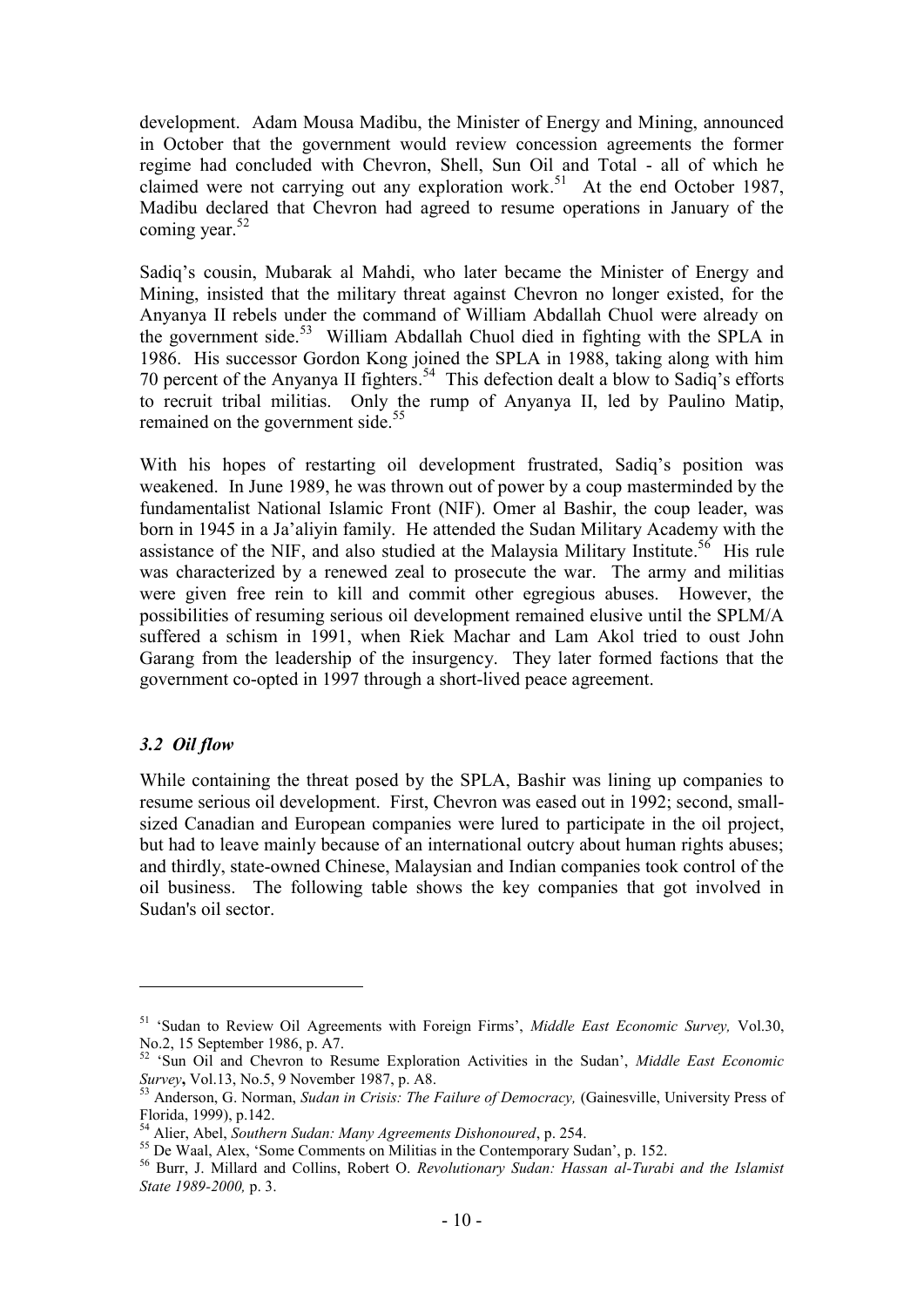development. Adam Mousa Madibu, the Minister of Energy and Mining, announced in October that the government would review concession agreements the former regime had concluded with Chevron, Shell, Sun Oil and Total - all of which he claimed were not carrying out any exploration work. 51 At the end October 1987, Madibu declared that Chevron had agreed to resume operations in January of the coming year. 52

Sadiq"s cousin, Mubarak al Mahdi, who later became the Minister of Energy and Mining, insisted that the military threat against Chevron no longer existed, for the Anyanya II rebels under the command of William Abdallah Chuol were already on the government side. 53 William Abdallah Chuol died in fighting with the SPLA in 1986. His successor Gordon Kong joined the SPLA in 1988, taking along with him 70 percent of the Anyanya II fighters. 54 This defection dealt a blow to Sadiq"s efforts to recruit tribal militias. Only the rump of Anyanya II, led by Paulino Matip, remained on the government side.<sup>55</sup>

With his hopes of restarting oil development frustrated, Sadiq"s position was weakened. In June 1989, he was thrown out of power by a coup masterminded by the fundamentalist National Islamic Front (NIF). Omer al Bashir, the coup leader, was born in 1945 in a Ja"aliyin family. He attended the Sudan Military Academy with the assistance of the NIF, and also studied at the Malaysia Military Institute.<sup>56</sup> His rule was characterized by a renewed zeal to prosecute the war. The army and militias were given free rein to kill and commit other egregious abuses. However, the possibilities of resuming serious oil development remained elusive until the SPLM/A suffered a schism in 1991, when Riek Machar and Lam Akol tried to oust John Garang from the leadership of the insurgency. They later formed factions that the government co-opted in 1997 through a short-lived peace agreement.

#### *3.2 Oil flow*

1

While containing the threat posed by the SPLA, Bashir was lining up companies to resume serious oil development. First, Chevron was eased out in 1992; second, smallsized Canadian and European companies were lured to participate in the oil project, but had to leave mainly because of an international outcry about human rights abuses; and thirdly, state-owned Chinese, Malaysian and Indian companies took control of the oil business. The following table shows the key companies that got involved in Sudan's oil sector.

<sup>51</sup> "Sudan to Review Oil Agreements with Foreign Firms", *Middle East Economic Survey,* Vol.30, No.2, 15 September 1986, p. A7.

<sup>52</sup> "Sun Oil and Chevron to Resume Exploration Activities in the Sudan", *Middle East Economic Survey***,** Vol.13, No.5, 9 November 1987, p. A8.

<sup>53</sup> Anderson, G. Norman, *Sudan in Crisis: The Failure of Democracy,* (Gainesville, University Press of Florida, 1999), p.142.

<sup>54</sup> Alier, Abel, *Southern Sudan: Many Agreements Dishonoured*, p. 254.

<sup>&</sup>lt;sup>55</sup> De Waal, Alex, 'Some Comments on Militias in the Contemporary Sudan', p. 152.

<sup>56</sup> Burr, J. Millard and Collins, Robert O. *Revolutionary Sudan: Hassan al-Turabi and the Islamist State 1989-2000,* p. 3.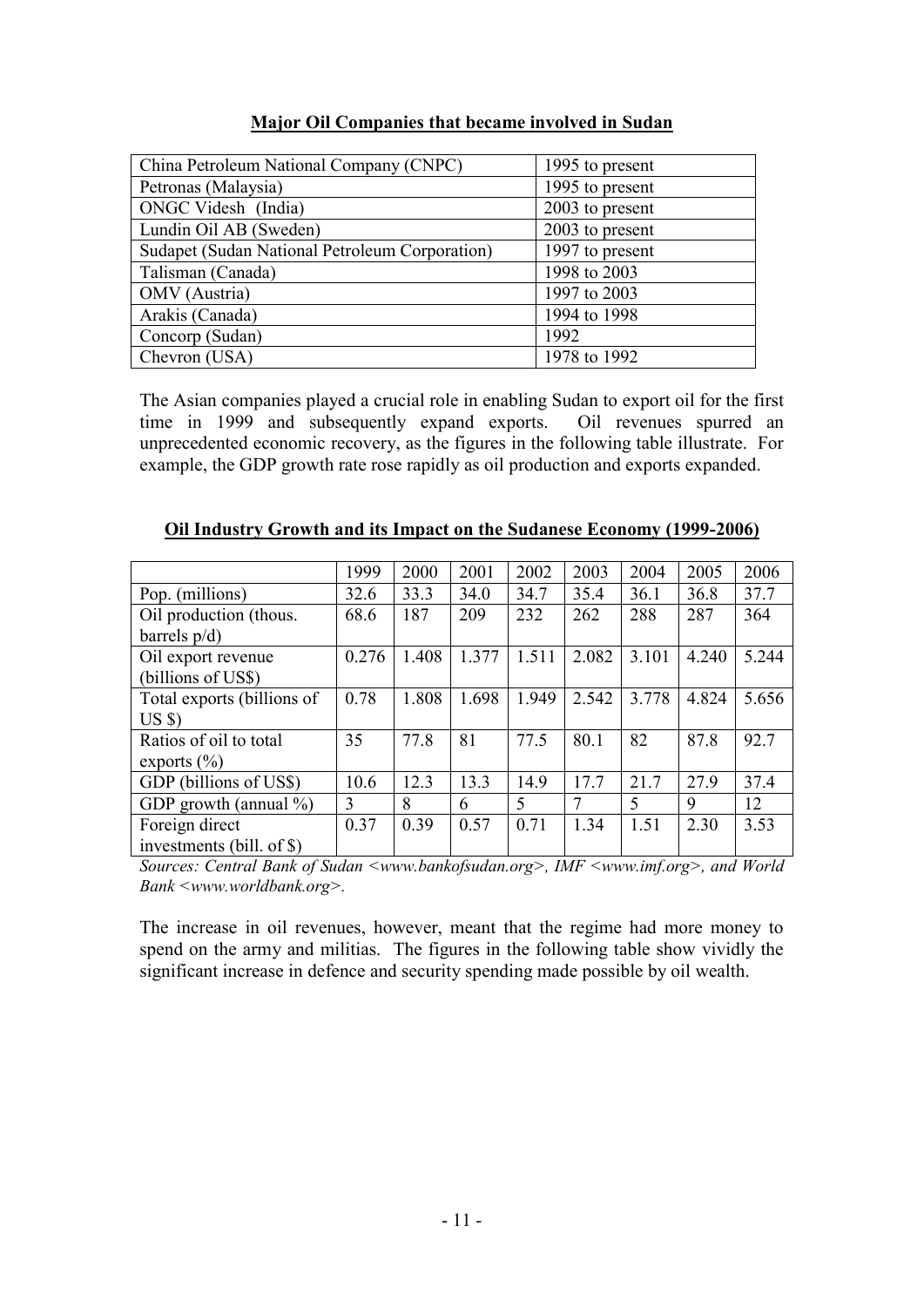| Major Oil Companies that became involved in Sudan |
|---------------------------------------------------|
|---------------------------------------------------|

| China Petroleum National Company (CNPC)        | 1995 to present |
|------------------------------------------------|-----------------|
| Petronas (Malaysia)                            | 1995 to present |
| ONGC Videsh (India)                            | 2003 to present |
| Lundin Oil AB (Sweden)                         | 2003 to present |
| Sudapet (Sudan National Petroleum Corporation) | 1997 to present |
| Talisman (Canada)                              | 1998 to 2003    |
| OMV (Austria)                                  | 1997 to 2003    |
| Arakis (Canada)                                | 1994 to 1998    |
| Concorp (Sudan)                                | 1992            |
| Chevron (USA)                                  | 1978 to 1992    |

The Asian companies played a crucial role in enabling Sudan to export oil for the first time in 1999 and subsequently expand exports. Oil revenues spurred an unprecedented economic recovery, as the figures in the following table illustrate. For example, the GDP growth rate rose rapidly as oil production and exports expanded.

|                            | 1999  | 2000  | 2001  | 2002  | 2003  | 2004  | 2005  | 2006  |
|----------------------------|-------|-------|-------|-------|-------|-------|-------|-------|
| Pop. (millions)            | 32.6  | 33.3  | 34.0  | 34.7  | 35.4  | 36.1  | 36.8  | 37.7  |
| Oil production (thous.     | 68.6  | 187   | 209   | 232   | 262   | 288   | 287   | 364   |
| barrels $p/d$ )            |       |       |       |       |       |       |       |       |
| Oil export revenue         | 0.276 | 1.408 | 1.377 | 1.511 | 2.082 | 3.101 | 4.240 | 5.244 |
| (billions of US\$)         |       |       |       |       |       |       |       |       |
| Total exports (billions of | 0.78  | 1.808 | 1.698 | 1.949 | 2.542 | 3.778 | 4.824 | 5.656 |
| $US \$                     |       |       |       |       |       |       |       |       |
| Ratios of oil to total     | 35    | 77.8  | 81    | 77.5  | 80.1  | 82    | 87.8  | 92.7  |
| exports $(\% )$            |       |       |       |       |       |       |       |       |
| GDP (billions of US\$)     | 10.6  | 12.3  | 13.3  | 14.9  | 17.7  | 21.7  | 27.9  | 37.4  |
| GDP growth (annual $\%$ )  | 3     | 8     | 6     | 5     | 7     | 5     | 9     | 12    |
| Foreign direct             | 0.37  | 0.39  | 0.57  | 0.71  | 1.34  | 1.51  | 2.30  | 3.53  |
| investments (bill. of \$)  |       |       |       |       |       |       |       |       |

**Oil Industry Growth and its Impact on the Sudanese Economy (1999-2006)**

*Sources: Central Bank of Sudan <www.bankofsudan.org>, IMF <www.imf.org>, and World Bank <www.worldbank.org>.*

The increase in oil revenues, however, meant that the regime had more money to spend on the army and militias. The figures in the following table show vividly the significant increase in defence and security spending made possible by oil wealth.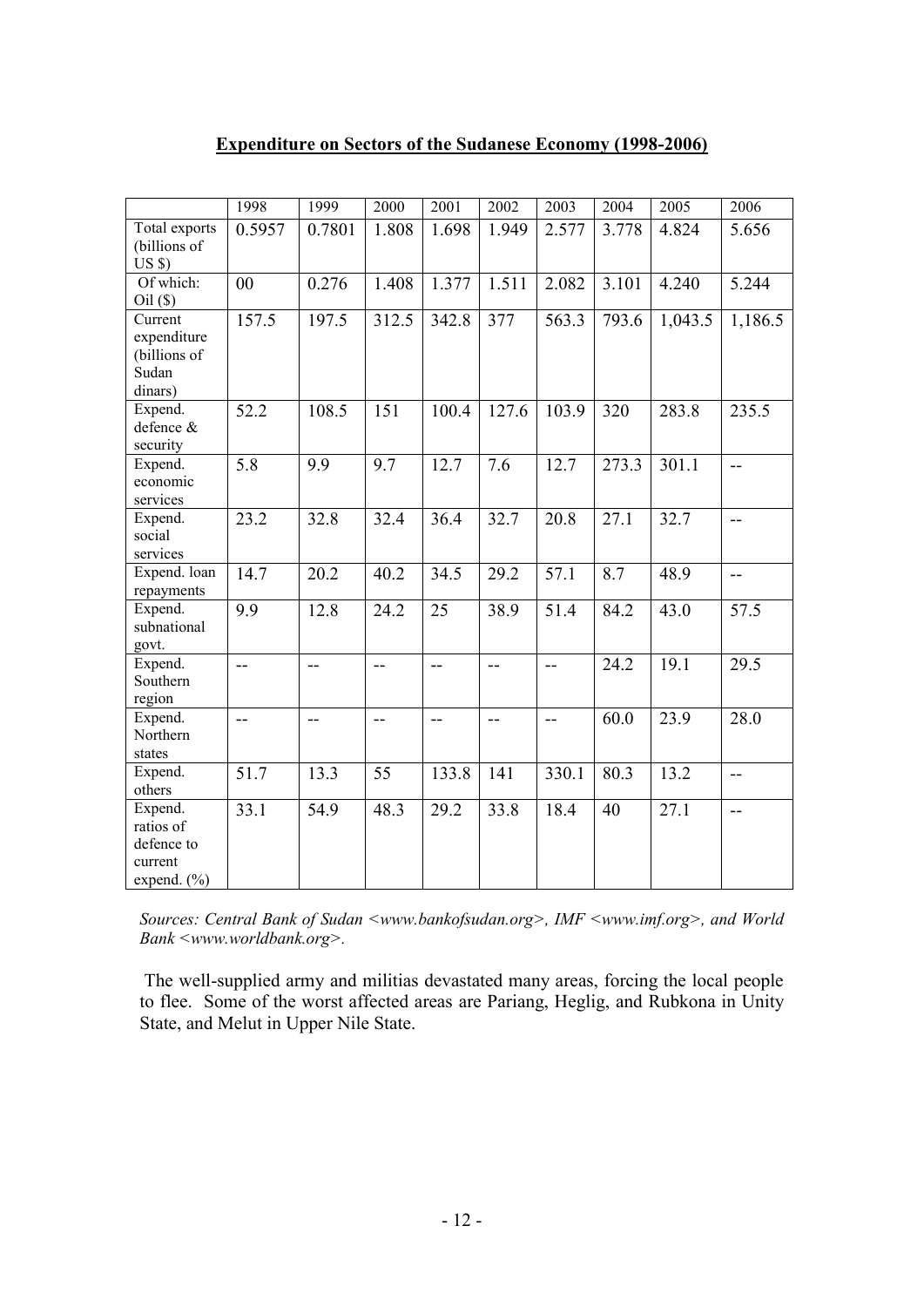## **Expenditure on Sectors of the Sudanese Economy (1998-2006)**

|                                                                  | 1998             | 1999                     | 2000  | 2001                     | 2002             | 2003              | 2004  | 2005    | 2006    |
|------------------------------------------------------------------|------------------|--------------------------|-------|--------------------------|------------------|-------------------|-------|---------|---------|
| Total exports<br>(billions of<br>US <sub>s</sub>                 | 0.5957           | 0.7801                   | 1.808 | 1.698                    | 1.949            | 2.577             | 3.778 | 4.824   | 5.656   |
| Of which:<br>Oil(S)                                              | 00               | 0.276                    | 1.408 | 1.377                    | 1.511            | 2.082             | 3.101 | 4.240   | 5.244   |
| Current<br>expenditure<br>(billions of<br>Sudan<br>dinars)       | 157.5            | 197.5                    | 312.5 | 342.8                    | 377              | 563.3             | 793.6 | 1,043.5 | 1,186.5 |
| Expend.<br>defence &<br>security                                 | 52.2             | 108.5                    | 151   | 100.4                    | 127.6            | 103.9             | 320   | 283.8   | 235.5   |
| Expend.<br>economic<br>services                                  | $\overline{5.8}$ | 9.9                      | 9.7   | 12.7                     | $\overline{7.6}$ | $12.\overline{7}$ | 273.3 | 301.1   | $-$     |
| Expend.<br>social<br>services                                    | 23.2             | 32.8                     | 32.4  | 36.4                     | 32.7             | 20.8              | 27.1  | 32.7    | $-$     |
| Expend. loan<br>repayments                                       | 14.7             | 20.2                     | 40.2  | 34.5                     | 29.2             | 57.1              | 8.7   | 48.9    | --      |
| Expend.<br>subnational<br>govt.                                  | 9.9              | 12.8                     | 24.2  | 25                       | 38.9             | 51.4              | 84.2  | 43.0    | 57.5    |
| Expend.<br>Southern<br>region                                    | $\overline{a}$   | $\overline{\phantom{a}}$ | $-$   | $\qquad \qquad -$        | $-$              | $-$               | 24.2  | 19.1    | 29.5    |
| Expend.<br>Northern<br>states                                    | $\overline{a}$   | $-$                      | $-$   | $\overline{\phantom{a}}$ | $-$              | $-$               | 60.0  | 23.9    | 28.0    |
| Expend.<br>others                                                | 51.7             | 13.3                     | 55    | 133.8                    | 141              | 330.1             | 80.3  | 13.2    | $-$     |
| Expend.<br>ratios of<br>defence to<br>current<br>expend. $(\% )$ | 33.1             | 54.9                     | 48.3  | 29.2                     | 33.8             | 18.4              | 40    | 27.1    | $-$     |

*Sources: Central Bank of Sudan <www.bankofsudan.org>, IMF <www.imf.org>, and World Bank <www.worldbank.org>.*

The well-supplied army and militias devastated many areas, forcing the local people to flee. Some of the worst affected areas are Pariang, Heglig, and Rubkona in Unity State, and Melut in Upper Nile State.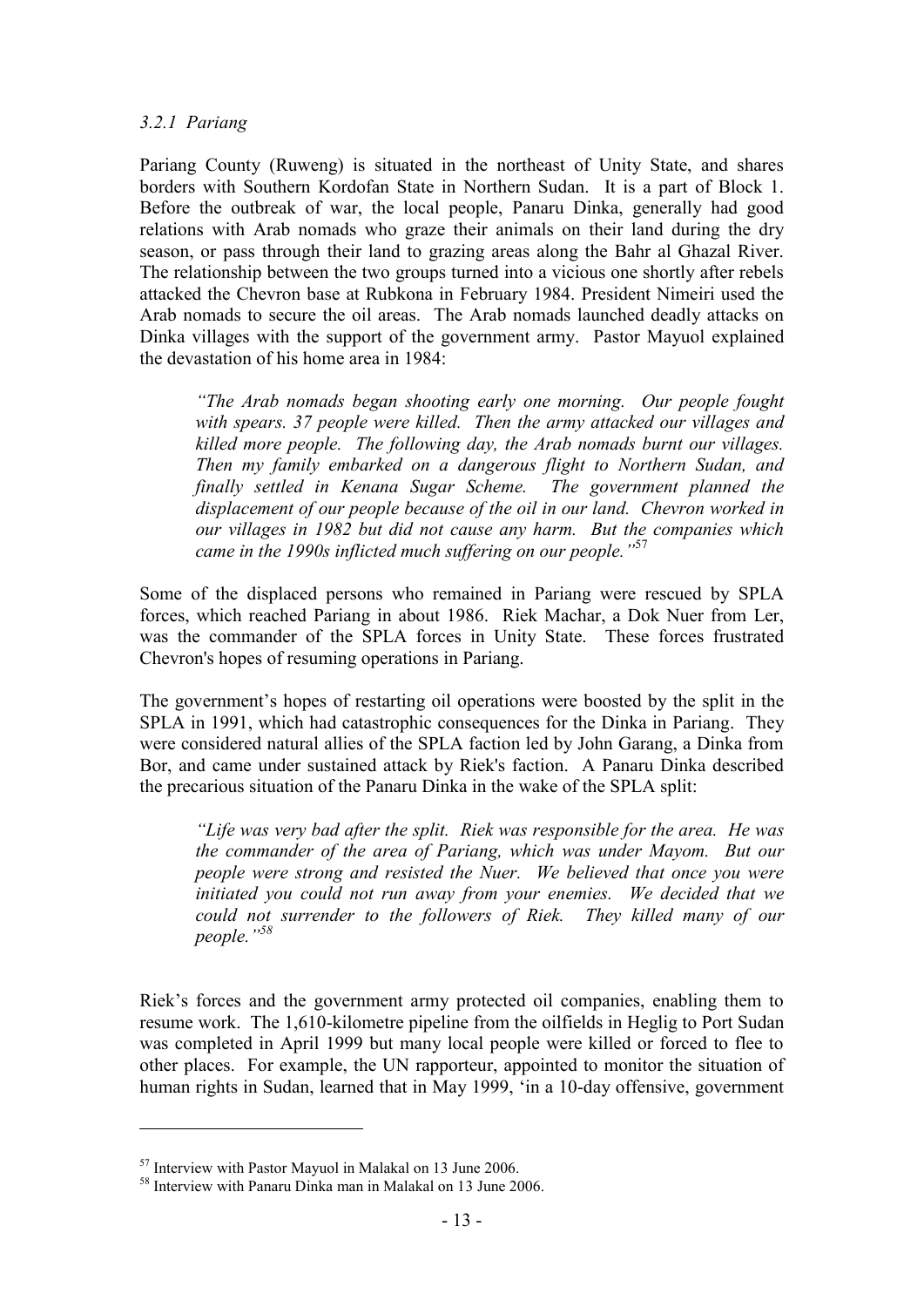#### *3.2.1 Pariang*

Pariang County (Ruweng) is situated in the northeast of Unity State, and shares borders with Southern Kordofan State in Northern Sudan. It is a part of Block 1. Before the outbreak of war, the local people, Panaru Dinka, generally had good relations with Arab nomads who graze their animals on their land during the dry season, or pass through their land to grazing areas along the Bahr al Ghazal River. The relationship between the two groups turned into a vicious one shortly after rebels attacked the Chevron base at Rubkona in February 1984. President Nimeiri used the Arab nomads to secure the oil areas. The Arab nomads launched deadly attacks on Dinka villages with the support of the government army. Pastor Mayuol explained the devastation of his home area in 1984:

*"The Arab nomads began shooting early one morning. Our people fought with spears. 37 people were killed. Then the army attacked our villages and killed more people. The following day, the Arab nomads burnt our villages. Then my family embarked on a dangerous flight to Northern Sudan, and finally settled in Kenana Sugar Scheme. The government planned the displacement of our people because of the oil in our land. Chevron worked in our villages in 1982 but did not cause any harm. But the companies which came in the 1990s inflicted much suffering on our people."*<sup>57</sup>

Some of the displaced persons who remained in Pariang were rescued by SPLA forces, which reached Pariang in about 1986. Riek Machar, a Dok Nuer from Ler, was the commander of the SPLA forces in Unity State. These forces frustrated Chevron's hopes of resuming operations in Pariang.

The government"s hopes of restarting oil operations were boosted by the split in the SPLA in 1991, which had catastrophic consequences for the Dinka in Pariang. They were considered natural allies of the SPLA faction led by John Garang, a Dinka from Bor, and came under sustained attack by Riek's faction. A Panaru Dinka described the precarious situation of the Panaru Dinka in the wake of the SPLA split:

*"Life was very bad after the split. Riek was responsible for the area. He was the commander of the area of Pariang, which was under Mayom. But our people were strong and resisted the Nuer. We believed that once you were initiated you could not run away from your enemies. We decided that we could not surrender to the followers of Riek. They killed many of our people."<sup>58</sup>*

Riek"s forces and the government army protected oil companies, enabling them to resume work. The 1,610-kilometre pipeline from the oilfields in Heglig to Port Sudan was completed in April 1999 but many local people were killed or forced to flee to other places. For example, the UN rapporteur, appointed to monitor the situation of human rights in Sudan, learned that in May 1999, "in a 10-day offensive, government

<u>.</u>

<sup>57</sup> Interview with Pastor Mayuol in Malakal on 13 June 2006.

<sup>58</sup> Interview with Panaru Dinka man in Malakal on 13 June 2006.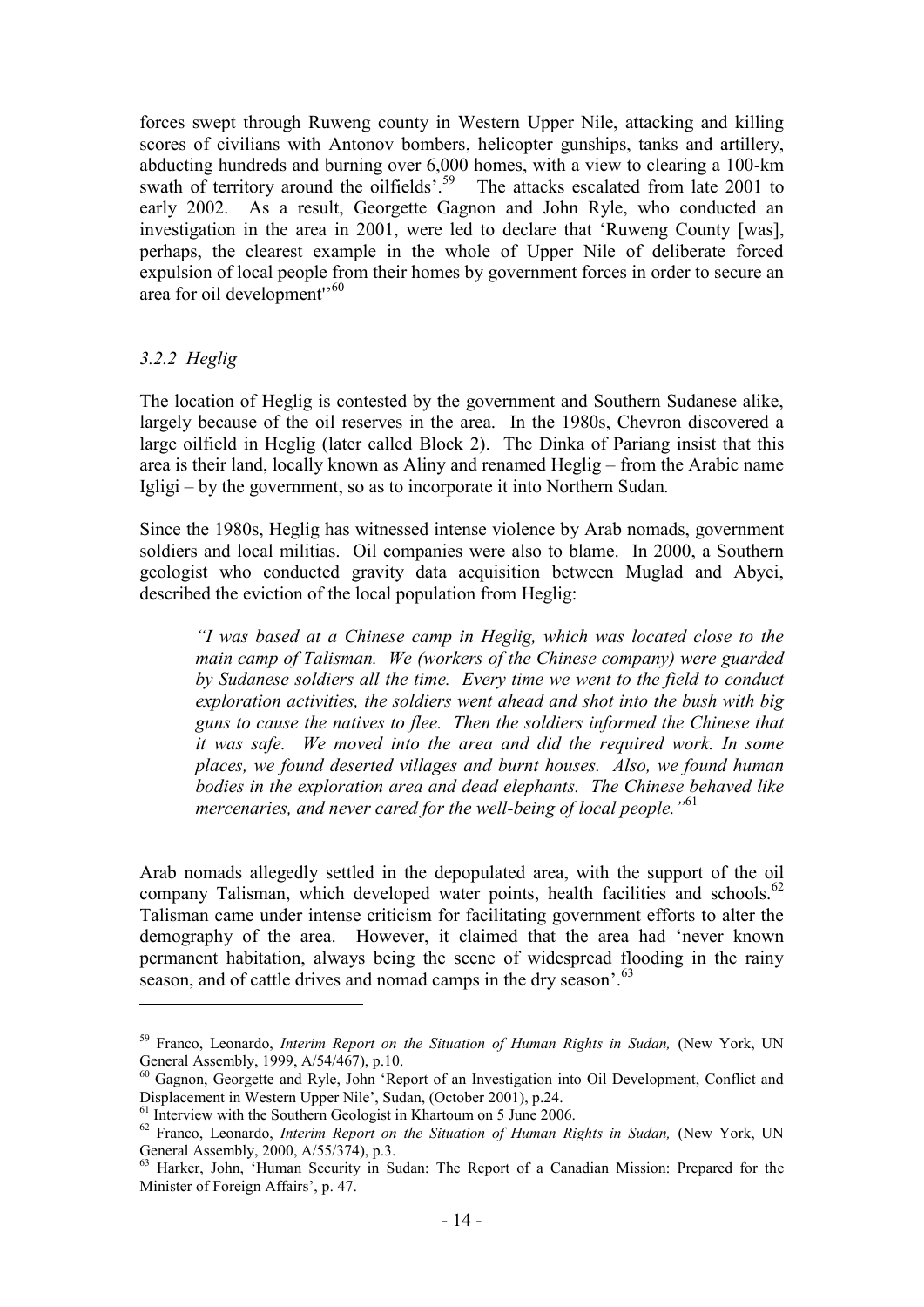forces swept through Ruweng county in Western Upper Nile, attacking and killing scores of civilians with Antonov bombers, helicopter gunships, tanks and artillery, abducting hundreds and burning over 6,000 homes, with a view to clearing a 100-km swath of territory around the oilfields<sup>559</sup> The attacks escalated from late 2001 to early 2002. As a result, Georgette Gagnon and John Ryle, who conducted an investigation in the area in 2001, were led to declare that "Ruweng County [was], perhaps, the clearest example in the whole of Upper Nile of deliberate forced expulsion of local people from their homes by government forces in order to secure an area for oil development'<sup>60</sup>

## *3.2.2 Heglig*

1

The location of Heglig is contested by the government and Southern Sudanese alike, largely because of the oil reserves in the area. In the 1980s, Chevron discovered a large oilfield in Heglig (later called Block 2). The Dinka of Pariang insist that this area is their land, locally known as Aliny and renamed Heglig – from the Arabic name Igligi – by the government, so as to incorporate it into Northern Sudan*.* 

Since the 1980s, Heglig has witnessed intense violence by Arab nomads, government soldiers and local militias. Oil companies were also to blame. In 2000, a Southern geologist who conducted gravity data acquisition between Muglad and Abyei, described the eviction of the local population from Heglig:

*"I was based at a Chinese camp in Heglig, which was located close to the main camp of Talisman. We (workers of the Chinese company) were guarded by Sudanese soldiers all the time. Every time we went to the field to conduct exploration activities, the soldiers went ahead and shot into the bush with big guns to cause the natives to flee. Then the soldiers informed the Chinese that it was safe. We moved into the area and did the required work. In some places, we found deserted villages and burnt houses. Also, we found human bodies in the exploration area and dead elephants. The Chinese behaved like mercenaries, and never cared for the well-being of local people."*<sup>61</sup>

Arab nomads allegedly settled in the depopulated area, with the support of the oil company Talisman, which developed water points, health facilities and schools.<sup>62</sup> Talisman came under intense criticism for facilitating government efforts to alter the demography of the area. However, it claimed that the area had "never known permanent habitation, always being the scene of widespread flooding in the rainy season, and of cattle drives and nomad camps in the dry season'.<sup>63</sup>

<sup>&</sup>lt;sup>59</sup> Franco, Leonardo, *Interim Report on the Situation of Human Rights in Sudan*, (New York, UN General Assembly, 1999, A/54/467), p.10.

<sup>&</sup>lt;sup>60</sup> Gagnon, Georgette and Ryle, John 'Report of an Investigation into Oil Development, Conflict and Displacement in Western Upper Nile", Sudan, (October 2001), p.24.

 $\frac{61}{1}$  Interview with the Southern Geologist in Khartoum on 5 June 2006.

<sup>&</sup>lt;sup>62</sup> Franco, Leonardo, *Interim Report on the Situation of Human Rights in Sudan*, (New York, UN General Assembly, 2000, A/55/374), p.3.

<sup>&</sup>lt;sup>63</sup> Harker, John, 'Human Security in Sudan: The Report of a Canadian Mission: Prepared for the Minister of Foreign Affairs', p. 47.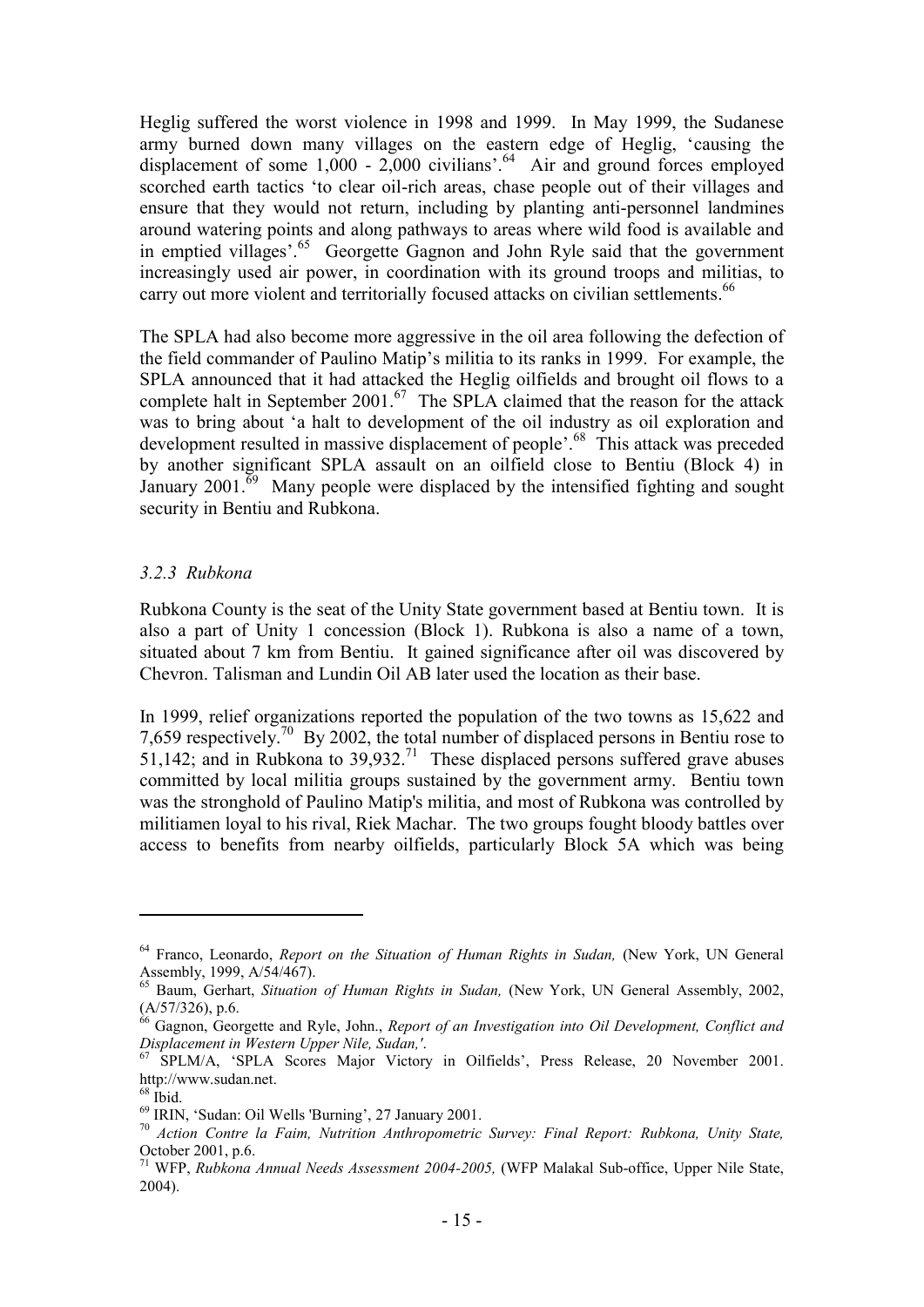Heglig suffered the worst violence in 1998 and 1999. In May 1999, the Sudanese army burned down many villages on the eastern edge of Heglig, "causing the displacement of some 1,000 - 2,000 civilians'.<sup>64</sup> Air and ground forces employed scorched earth tactics "to clear oil-rich areas, chase people out of their villages and ensure that they would not return, including by planting anti-personnel landmines around watering points and along pathways to areas where wild food is available and in emptied villages'.<sup>65</sup> Georgette Gagnon and John Ryle said that the government increasingly used air power, in coordination with its ground troops and militias, to carry out more violent and territorially focused attacks on civilian settlements. 66

The SPLA had also become more aggressive in the oil area following the defection of the field commander of Paulino Matip's militia to its ranks in 1999. For example, the SPLA announced that it had attacked the Heglig oilfields and brought oil flows to a complete halt in September 2001.<sup>67</sup> The SPLA claimed that the reason for the attack was to bring about 'a halt to development of the oil industry as oil exploration and development resulted in massive displacement of people". <sup>68</sup> This attack was preceded by another significant SPLA assault on an oilfield close to Bentiu (Block 4) in January 2001.<sup> $\overline{69}$ </sup> Many people were displaced by the intensified fighting and sought security in Bentiu and Rubkona.

## *3.2.3 Rubkona*

Rubkona County is the seat of the Unity State government based at Bentiu town. It is also a part of Unity 1 concession (Block 1). Rubkona is also a name of a town, situated about 7 km from Bentiu. It gained significance after oil was discovered by Chevron. Talisman and Lundin Oil AB later used the location as their base.

In 1999, relief organizations reported the population of the two towns as 15,622 and 7,659 respectively.<sup>70</sup> By 2002, the total number of displaced persons in Bentiu rose to 51,142; and in Rubkona to 39,932. <sup>71</sup> These displaced persons suffered grave abuses committed by local militia groups sustained by the government army.Bentiu town was the stronghold of Paulino Matip's militia, and most of Rubkona was controlled by militiamen loyal to his rival, Riek Machar. The two groups fought bloody battles over access to benefits from nearby oilfields, particularly Block 5A which was being

<u>.</u>

<sup>64</sup> Franco, Leonardo, *Report on the Situation of Human Rights in Sudan,* (New York, UN General Assembly, 1999, A/54/467).

<sup>65</sup> Baum, Gerhart, *Situation of Human Rights in Sudan,* (New York, UN General Assembly, 2002, (A/57/326), p.6.

<sup>66</sup> Gagnon, Georgette and Ryle, John., *Report of an Investigation into Oil Development, Conflict and Displacement in Western Upper Nile, Sudan,'*.

<sup>&</sup>lt;sup>67</sup> SPLM/A, 'SPLA Scores Major Victory in Oilfields', Press Release, 20 November 2001. http://www.sudan.net.

 $68$  Ibid.

<sup>69</sup> IRIN, "Sudan: Oil Wells 'Burning", 27 January 2001.

<sup>70</sup> *Action Contre la Faim, Nutrition Anthropometric Survey: Final Report: Rubkona, Unity State,* October 2001, p.6.

<sup>71</sup> WFP, *Rubkona Annual Needs Assessment 2004-2005,* (WFP Malakal Sub-office, Upper Nile State, 2004).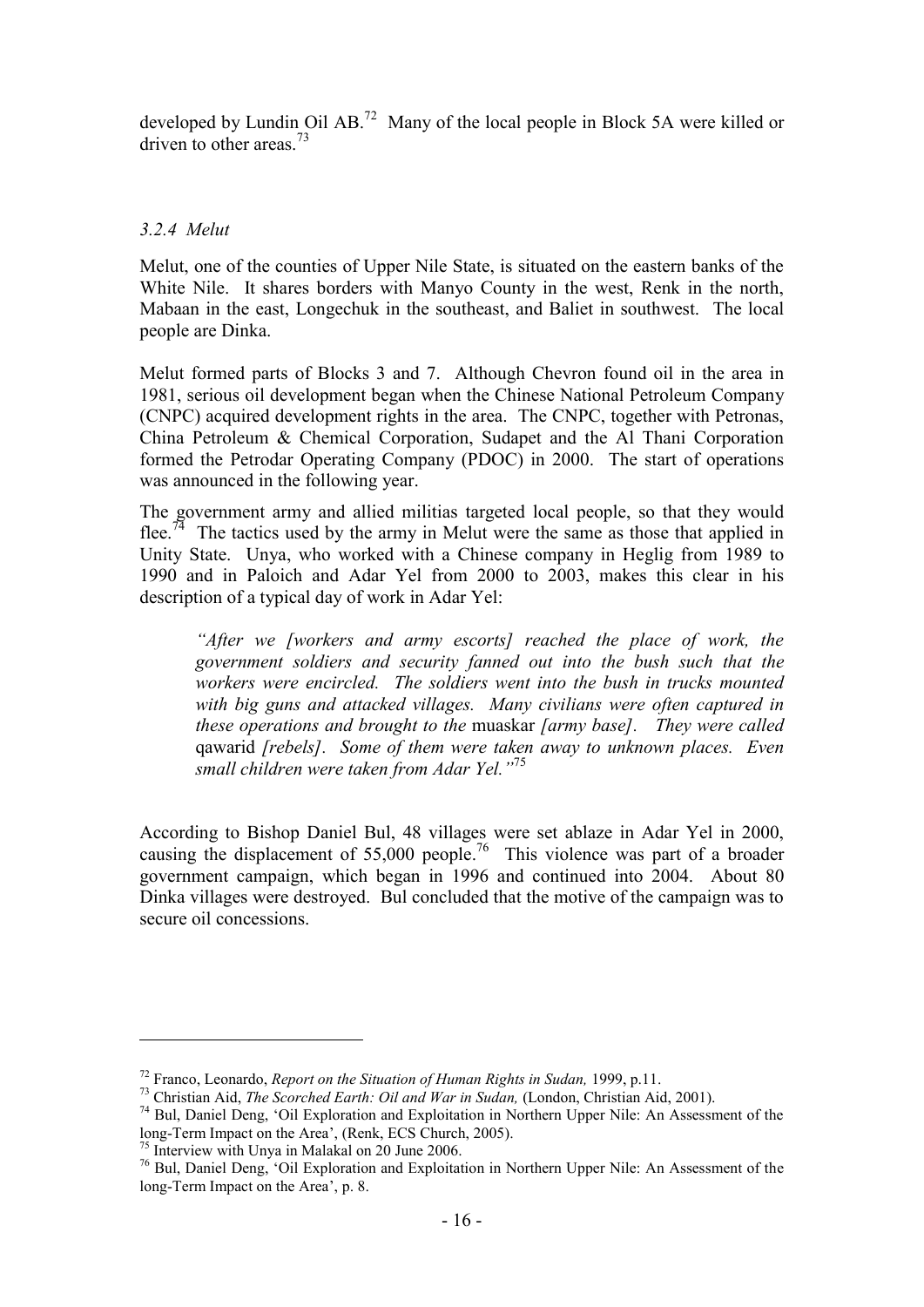developed by Lundin Oil AB.<sup>72</sup> Many of the local people in Block 5A were killed or driven to other areas.<sup>73</sup>

## *3.2.4 Melut*

Melut, one of the counties of Upper Nile State, is situated on the eastern banks of the White Nile. It shares borders with Manyo County in the west, Renk in the north, Mabaan in the east, Longechuk in the southeast, and Baliet in southwest. The local people are Dinka.

Melut formed parts of Blocks 3 and 7. Although Chevron found oil in the area in 1981, serious oil development began when the Chinese National Petroleum Company (CNPC) acquired development rights in the area. The CNPC, together with Petronas, China Petroleum & Chemical Corporation, Sudapet and the Al Thani Corporation formed the Petrodar Operating Company (PDOC) in 2000. The start of operations was announced in the following year.

The government army and allied militias targeted local people, so that they would flee.<sup>74</sup> The tactics used by the army in Melut were the same as those that applied in Unity State. Unya, who worked with a Chinese company in Heglig from 1989 to 1990 and in Paloich and Adar Yel from 2000 to 2003, makes this clear in his description of a typical day of work in Adar Yel:

*"After we [workers and army escorts] reached the place of work, the government soldiers and security fanned out into the bush such that the workers were encircled. The soldiers went into the bush in trucks mounted with big guns and attacked villages. Many civilians were often captured in these operations and brought to the* muaskar *[army base]. They were called*  qawarid *[rebels]. Some of them were taken away to unknown places. Even small children were taken from Adar Yel."*<sup>75</sup>

According to Bishop Daniel Bul, 48 villages were set ablaze in Adar Yel in 2000, causing the displacement of  $55,000$  people.<sup>76</sup> This violence was part of a broader government campaign, which began in 1996 and continued into 2004. About 80 Dinka villages were destroyed. Bul concluded that the motive of the campaign was to secure oil concessions.

<sup>75</sup> Interview with Unya in Malakal on 20 June 2006.

1

<sup>72</sup> Franco, Leonardo, *Report on the Situation of Human Rights in Sudan,* 1999, p.11.

<sup>73</sup> Christian Aid, *The Scorched Earth: Oil and War in Sudan,* (London, Christian Aid, 2001).

<sup>74</sup> Bul, Daniel Deng, "Oil Exploration and Exploitation in Northern Upper Nile: An Assessment of the long-Term Impact on the Area', (Renk, ECS Church, 2005).

<sup>76</sup> Bul, Daniel Deng, "Oil Exploration and Exploitation in Northern Upper Nile: An Assessment of the long-Term Impact on the Area', p. 8.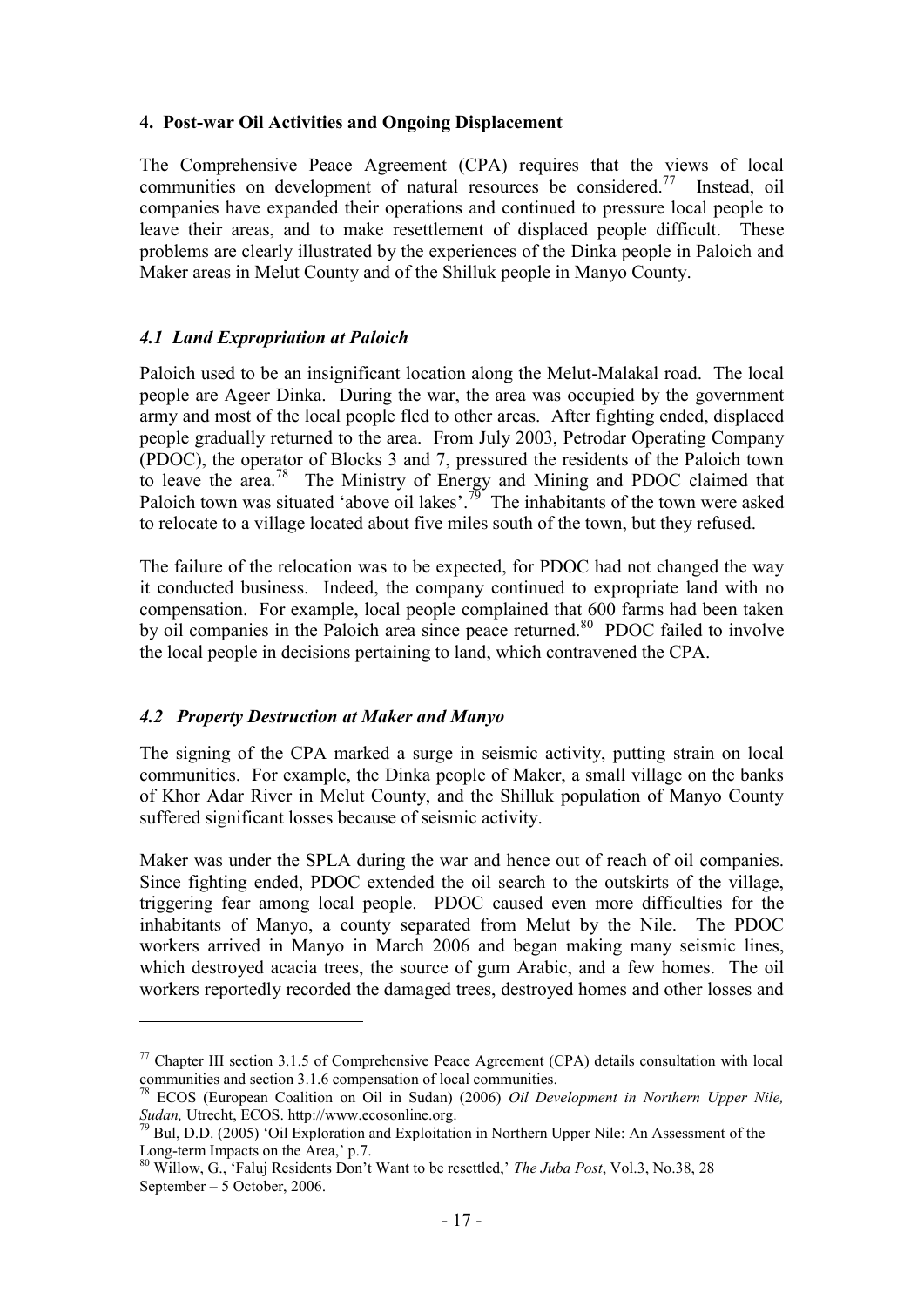#### **4. Post-war Oil Activities and Ongoing Displacement**

The Comprehensive Peace Agreement (CPA) requires that the views of local communities on development of natural resources be considered.<sup>77</sup> Instead, oil companies have expanded their operations and continued to pressure local people to leave their areas, and to make resettlement of displaced people difficult. These problems are clearly illustrated by the experiences of the Dinka people in Paloich and Maker areas in Melut County and of the Shilluk people in Manyo County.

## *4.1 Land Expropriation at Paloich*

Paloich used to be an insignificant location along the Melut-Malakal road. The local people are Ageer Dinka. During the war, the area was occupied by the government army and most of the local people fled to other areas. After fighting ended, displaced people gradually returned to the area. From July 2003, Petrodar Operating Company (PDOC), the operator of Blocks 3 and 7, pressured the residents of the Paloich town to leave the area.<sup>78</sup> The Ministry of Energy and Mining and PDOC claimed that Paloich town was situated 'above oil lakes'.<sup>79</sup> The inhabitants of the town were asked to relocate to a village located about five miles south of the town, but they refused.

The failure of the relocation was to be expected, for PDOC had not changed the way it conducted business. Indeed, the company continued to expropriate land with no compensation. For example, local people complained that 600 farms had been taken by oil companies in the Paloich area since peace returned.<sup>80</sup> PDOC failed to involve the local people in decisions pertaining to land, which contravened the CPA.

## *4.2 Property Destruction at Maker and Manyo*

<u>.</u>

The signing of the CPA marked a surge in seismic activity, putting strain on local communities. For example, the Dinka people of Maker, a small village on the banks of Khor Adar River in Melut County, and the Shilluk population of Manyo County suffered significant losses because of seismic activity.

Maker was under the SPLA during the war and hence out of reach of oil companies. Since fighting ended, PDOC extended the oil search to the outskirts of the village, triggering fear among local people. PDOC caused even more difficulties for the inhabitants of Manyo, a county separated from Melut by the Nile. The PDOC workers arrived in Manyo in March 2006 and began making many seismic lines, which destroyed acacia trees, the source of gum Arabic, and a few homes. The oil workers reportedly recorded the damaged trees, destroyed homes and other losses and

 $77$  Chapter III section 3.1.5 of Comprehensive Peace Agreement (CPA) details consultation with local communities and section 3.1.6 compensation of local communities.

<sup>78</sup> ECOS (European Coalition on Oil in Sudan) (2006) *Oil Development in Northern Upper Nile, Sudan,* Utrecht, ECOS. http://www.ecosonline.org.

 $79$  Bul, D.D. (2005) 'Oil Exploration and Exploitation in Northern Upper Nile: An Assessment of the Long-term Impacts on the Area,' p.7.

<sup>80</sup> Willow, G., "Faluj Residents Don"t Want to be resettled," *The Juba Post*, Vol.3, No.38, 28 September – 5 October, 2006.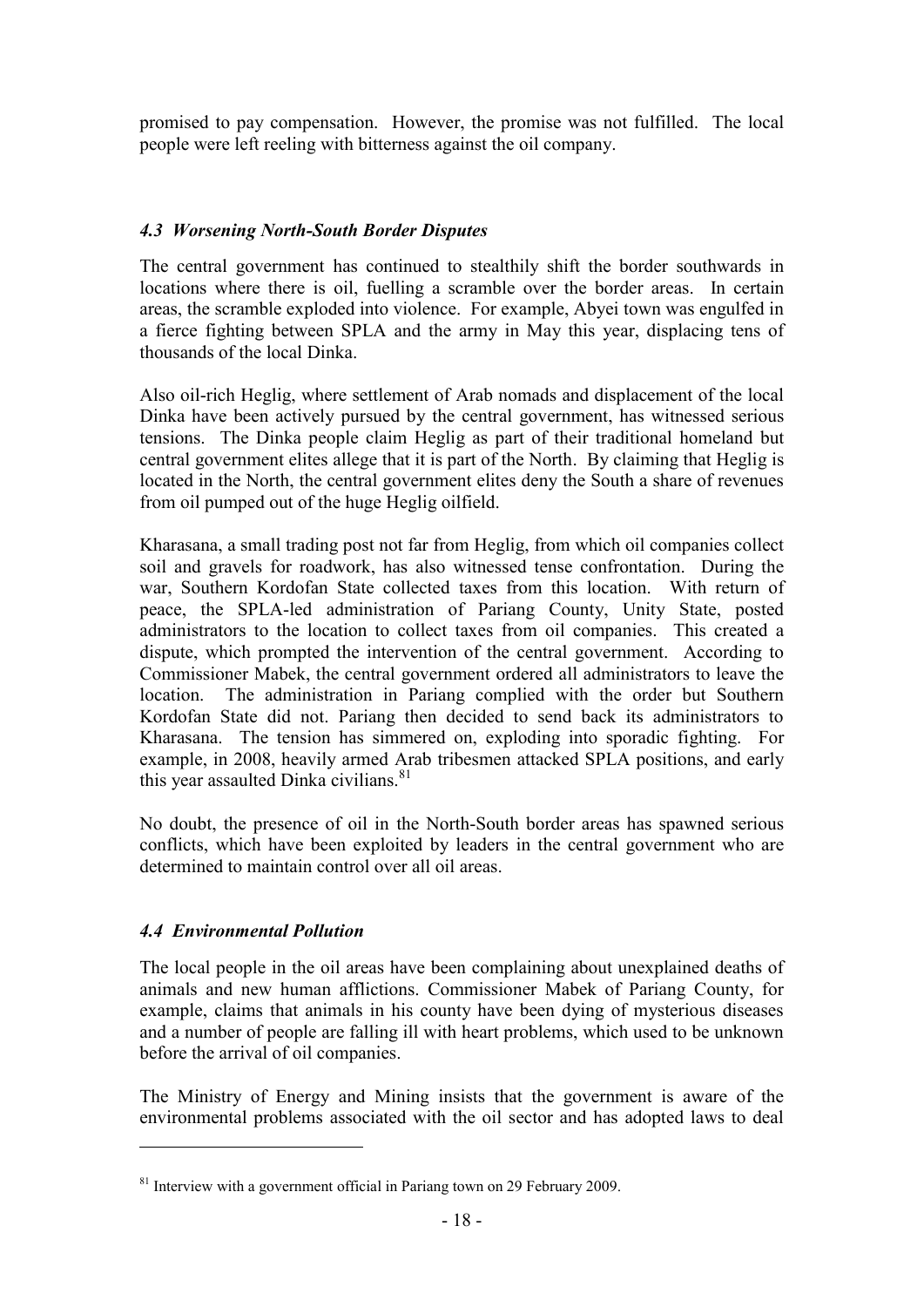promised to pay compensation. However, the promise was not fulfilled. The local people were left reeling with bitterness against the oil company.

## *4.3 Worsening North-South Border Disputes*

The central government has continued to stealthily shift the border southwards in locations where there is oil, fuelling a scramble over the border areas. In certain areas, the scramble exploded into violence. For example, Abyei town was engulfed in a fierce fighting between SPLA and the army in May this year, displacing tens of thousands of the local Dinka.

Also oil-rich Heglig, where settlement of Arab nomads and displacement of the local Dinka have been actively pursued by the central government, has witnessed serious tensions. The Dinka people claim Heglig as part of their traditional homeland but central government elites allege that it is part of the North. By claiming that Heglig is located in the North, the central government elites deny the South a share of revenues from oil pumped out of the huge Heglig oilfield.

Kharasana, a small trading post not far from Heglig, from which oil companies collect soil and gravels for roadwork, has also witnessed tense confrontation. During the war, Southern Kordofan State collected taxes from this location. With return of peace, the SPLA-led administration of Pariang County, Unity State, posted administrators to the location to collect taxes from oil companies. This created a dispute, which prompted the intervention of the central government. According to Commissioner Mabek, the central government ordered all administrators to leave the location. The administration in Pariang complied with the order but Southern Kordofan State did not. Pariang then decided to send back its administrators to Kharasana. The tension has simmered on, exploding into sporadic fighting. For example, in 2008, heavily armed Arab tribesmen attacked SPLA positions, and early this year assaulted Dinka civilians.<sup>81</sup>

No doubt, the presence of oil in the North-South border areas has spawned serious conflicts, which have been exploited by leaders in the central government who are determined to maintain control over all oil areas.

## *4.4 Environmental Pollution*

1

The local people in the oil areas have been complaining about unexplained deaths of animals and new human afflictions. Commissioner Mabek of Pariang County, for example, claims that animals in his county have been dying of mysterious diseases and a number of people are falling ill with heart problems, which used to be unknown before the arrival of oil companies.

The Ministry of Energy and Mining insists that the government is aware of the environmental problems associated with the oil sector and has adopted laws to deal

 $81$  Interview with a government official in Pariang town on 29 February 2009.